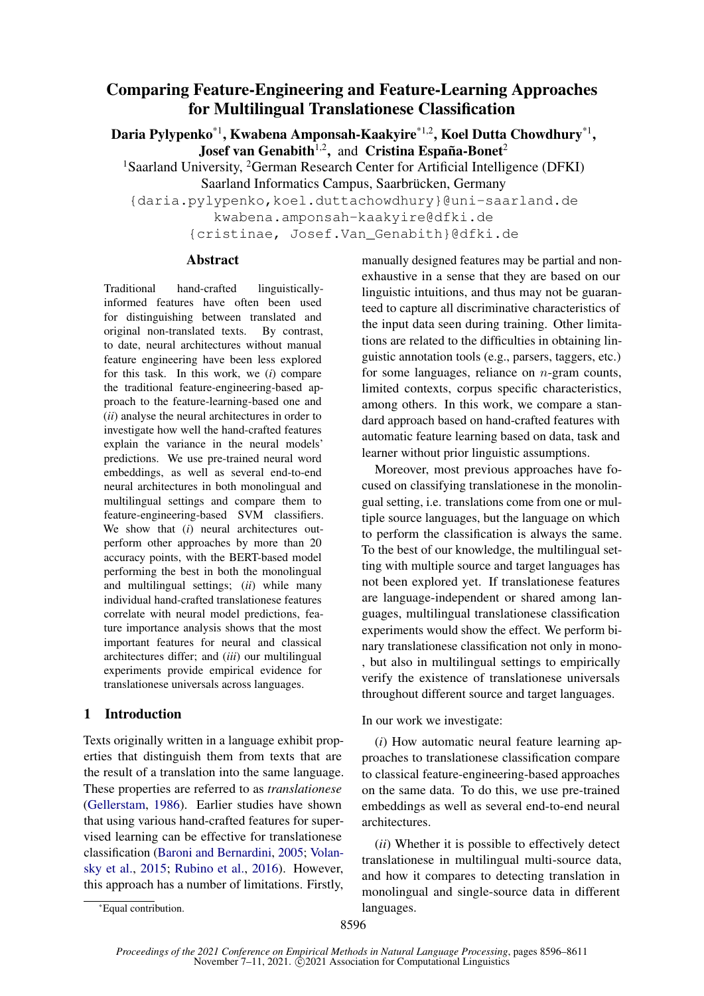# Comparing Feature-Engineering and Feature-Learning Approaches for Multilingual Translationese Classification

Daria Pylypenko\*<sup>1</sup>, Kwabena Amponsah-Kaakyire\*<sup>1,2</sup>, Koel Dutta Chowdhury<sup>\*1</sup>, **Josef van Genabith**<sup>1,2</sup>, and Cristina España-Bonet<sup>2</sup>

<sup>1</sup>Saarland University, <sup>2</sup>German Research Center for Artificial Intelligence (DFKI) Saarland Informatics Campus, Saarbrücken, Germany

{daria.pylypenko,koel.duttachowdhury}@uni-saarland.de kwabena.amponsah-kaakyire@dfki.de {cristinae, Josef.Van\_Genabith}@dfki.de

### Abstract

Traditional hand-crafted linguisticallyinformed features have often been used for distinguishing between translated and original non-translated texts. By contrast, to date, neural architectures without manual feature engineering have been less explored for this task. In this work, we (*i*) compare the traditional feature-engineering-based approach to the feature-learning-based one and (*ii*) analyse the neural architectures in order to investigate how well the hand-crafted features explain the variance in the neural models' predictions. We use pre-trained neural word embeddings, as well as several end-to-end neural architectures in both monolingual and multilingual settings and compare them to feature-engineering-based SVM classifiers. We show that (*i*) neural architectures outperform other approaches by more than 20 accuracy points, with the BERT-based model performing the best in both the monolingual and multilingual settings; (*ii*) while many individual hand-crafted translationese features correlate with neural model predictions, feature importance analysis shows that the most important features for neural and classical architectures differ; and (*iii*) our multilingual experiments provide empirical evidence for translationese universals across languages.

# 1 Introduction

Texts originally written in a language exhibit properties that distinguish them from texts that are the result of a translation into the same language. These properties are referred to as *translationese* [\(Gellerstam,](#page-9-0) [1986\)](#page-9-0). Earlier studies have shown that using various hand-crafted features for supervised learning can be effective for translationese classification [\(Baroni and Bernardini,](#page-9-1) [2005;](#page-9-1) [Volan](#page-10-0)[sky et al.,](#page-10-0) [2015;](#page-10-0) [Rubino et al.,](#page-10-1) [2016\)](#page-10-1). However, this approach has a number of limitations. Firstly, manually designed features may be partial and nonexhaustive in a sense that they are based on our linguistic intuitions, and thus may not be guaranteed to capture all discriminative characteristics of the input data seen during training. Other limitations are related to the difficulties in obtaining linguistic annotation tools (e.g., parsers, taggers, etc.) for some languages, reliance on  $n$ -gram counts, limited contexts, corpus specific characteristics, among others. In this work, we compare a standard approach based on hand-crafted features with automatic feature learning based on data, task and learner without prior linguistic assumptions.

Moreover, most previous approaches have focused on classifying translationese in the monolingual setting, i.e. translations come from one or multiple source languages, but the language on which to perform the classification is always the same. To the best of our knowledge, the multilingual setting with multiple source and target languages has not been explored yet. If translationese features are language-independent or shared among languages, multilingual translationese classification experiments would show the effect. We perform binary translationese classification not only in mono- , but also in multilingual settings to empirically verify the existence of translationese universals throughout different source and target languages.

In our work we investigate:

(*i*) How automatic neural feature learning approaches to translationese classification compare to classical feature-engineering-based approaches on the same data. To do this, we use pre-trained embeddings as well as several end-to-end neural architectures.

(*ii*) Whether it is possible to effectively detect translationese in multilingual multi-source data, and how it compares to detecting translation in monolingual and single-source data in different languages.

<sup>\*</sup>Equal contribution.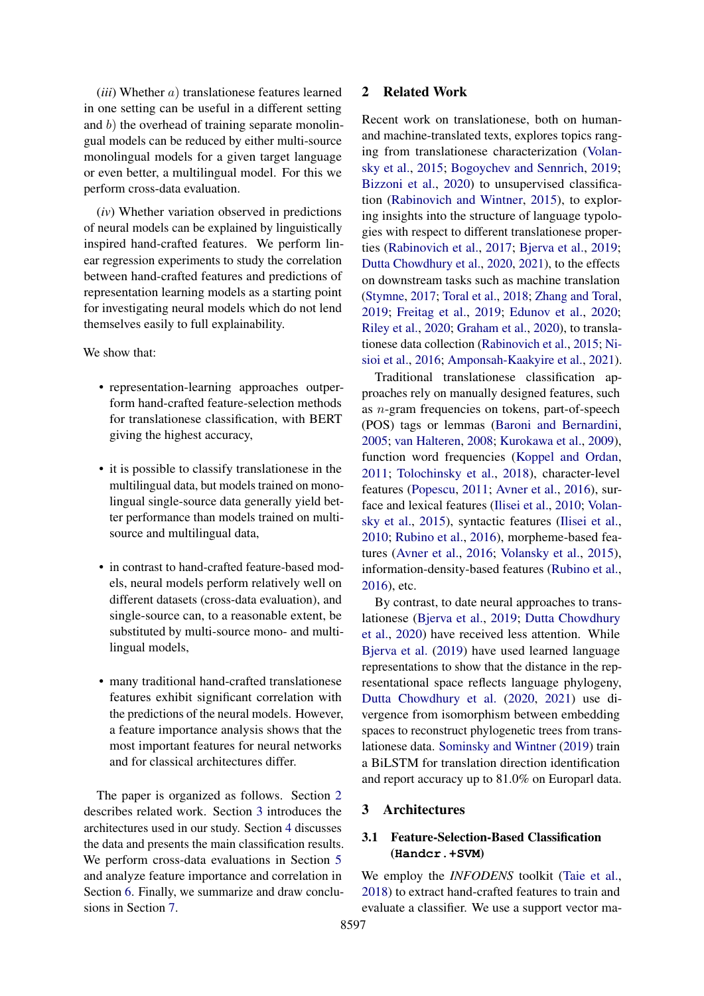(*iii*) Whether a) translationese features learned in one setting can be useful in a different setting and  $b$ ) the overhead of training separate monolingual models can be reduced by either multi-source monolingual models for a given target language or even better, a multilingual model. For this we perform cross-data evaluation.

(*iv*) Whether variation observed in predictions of neural models can be explained by linguistically inspired hand-crafted features. We perform linear regression experiments to study the correlation between hand-crafted features and predictions of representation learning models as a starting point for investigating neural models which do not lend themselves easily to full explainability.

We show that:

- representation-learning approaches outperform hand-crafted feature-selection methods for translationese classification, with BERT giving the highest accuracy,
- it is possible to classify translationese in the multilingual data, but models trained on monolingual single-source data generally yield better performance than models trained on multisource and multilingual data,
- in contrast to hand-crafted feature-based models, neural models perform relatively well on different datasets (cross-data evaluation), and single-source can, to a reasonable extent, be substituted by multi-source mono- and multilingual models,
- many traditional hand-crafted translationese features exhibit significant correlation with the predictions of the neural models. However, a feature importance analysis shows that the most important features for neural networks and for classical architectures differ.

The paper is organized as follows. Section [2](#page-1-0) describes related work. Section [3](#page-1-1) introduces the architectures used in our study. Section [4](#page-3-0) discusses the data and presents the main classification results. We perform cross-data evaluations in Section [5](#page-5-0) and analyze feature importance and correlation in Section [6.](#page-7-0) Finally, we summarize and draw conclusions in Section [7.](#page-8-0)

## <span id="page-1-0"></span>2 Related Work

Recent work on translationese, both on humanand machine-translated texts, explores topics ranging from translationese characterization [\(Volan](#page-10-0)[sky et al.,](#page-10-0) [2015;](#page-10-0) [Bogoychev and Sennrich,](#page-9-2) [2019;](#page-9-2) [Bizzoni et al.,](#page-9-3) [2020\)](#page-9-3) to unsupervised classification [\(Rabinovich and Wintner,](#page-10-2) [2015\)](#page-10-2), to exploring insights into the structure of language typologies with respect to different translationese properties [\(Rabinovich et al.,](#page-10-3) [2017;](#page-10-3) [Bjerva et al.,](#page-9-4) [2019;](#page-9-4) [Dutta Chowdhury et al.,](#page-9-5) [2020,](#page-9-5) [2021\)](#page-9-6), to the effects on downstream tasks such as machine translation [\(Stymne,](#page-10-4) [2017;](#page-10-4) [Toral et al.,](#page-10-5) [2018;](#page-10-5) [Zhang and Toral,](#page-10-6) [2019;](#page-10-6) [Freitag et al.,](#page-9-7) [2019;](#page-9-7) [Edunov et al.,](#page-9-8) [2020;](#page-9-8) [Riley et al.,](#page-10-7) [2020;](#page-10-7) [Graham et al.,](#page-9-9) [2020\)](#page-9-9), to translationese data collection [\(Rabinovich et al.,](#page-10-8) [2015;](#page-10-8) [Ni](#page-10-9)[sioi et al.,](#page-10-9) [2016;](#page-10-9) [Amponsah-Kaakyire et al.,](#page-9-10) [2021\)](#page-9-10).

Traditional translationese classification approaches rely on manually designed features, such as n-gram frequencies on tokens, part-of-speech (POS) tags or lemmas [\(Baroni and Bernardini,](#page-9-1) [2005;](#page-9-1) [van Halteren,](#page-10-10) [2008;](#page-10-10) [Kurokawa et al.,](#page-10-11) [2009\)](#page-10-11), function word frequencies [\(Koppel and Ordan,](#page-10-12) [2011;](#page-10-12) [Tolochinsky et al.,](#page-10-13) [2018\)](#page-10-13), character-level features [\(Popescu,](#page-10-14) [2011;](#page-10-14) [Avner et al.,](#page-9-11) [2016\)](#page-9-11), surface and lexical features [\(Ilisei et al.,](#page-9-12) [2010;](#page-9-12) [Volan](#page-10-0)[sky et al.,](#page-10-0) [2015\)](#page-10-0), syntactic features [\(Ilisei et al.,](#page-9-12) [2010;](#page-9-12) [Rubino et al.,](#page-10-1) [2016\)](#page-10-1), morpheme-based features [\(Avner et al.,](#page-9-11) [2016;](#page-9-11) [Volansky et al.,](#page-10-0) [2015\)](#page-10-0), information-density-based features [\(Rubino et al.,](#page-10-1) [2016\)](#page-10-1), etc.

By contrast, to date neural approaches to translationese [\(Bjerva et al.,](#page-9-4) [2019;](#page-9-4) [Dutta Chowdhury](#page-9-5) [et al.,](#page-9-5) [2020\)](#page-9-5) have received less attention. While [Bjerva et al.](#page-9-4) [\(2019\)](#page-9-4) have used learned language representations to show that the distance in the representational space reflects language phylogeny, [Dutta Chowdhury et al.](#page-9-5) [\(2020,](#page-9-5) [2021\)](#page-9-6) use divergence from isomorphism between embedding spaces to reconstruct phylogenetic trees from translationese data. [Sominsky and Wintner](#page-10-15) [\(2019\)](#page-10-15) train a BiLSTM for translation direction identification and report accuracy up to 81.0% on Europarl data.

### <span id="page-1-1"></span>3 Architectures

# 3.1 Feature-Selection-Based Classification (**Handcr.+SVM**)

We employ the *INFODENS* toolkit [\(Taie et al.,](#page-10-16) [2018\)](#page-10-16) to extract hand-crafted features to train and evaluate a classifier. We use a support vector ma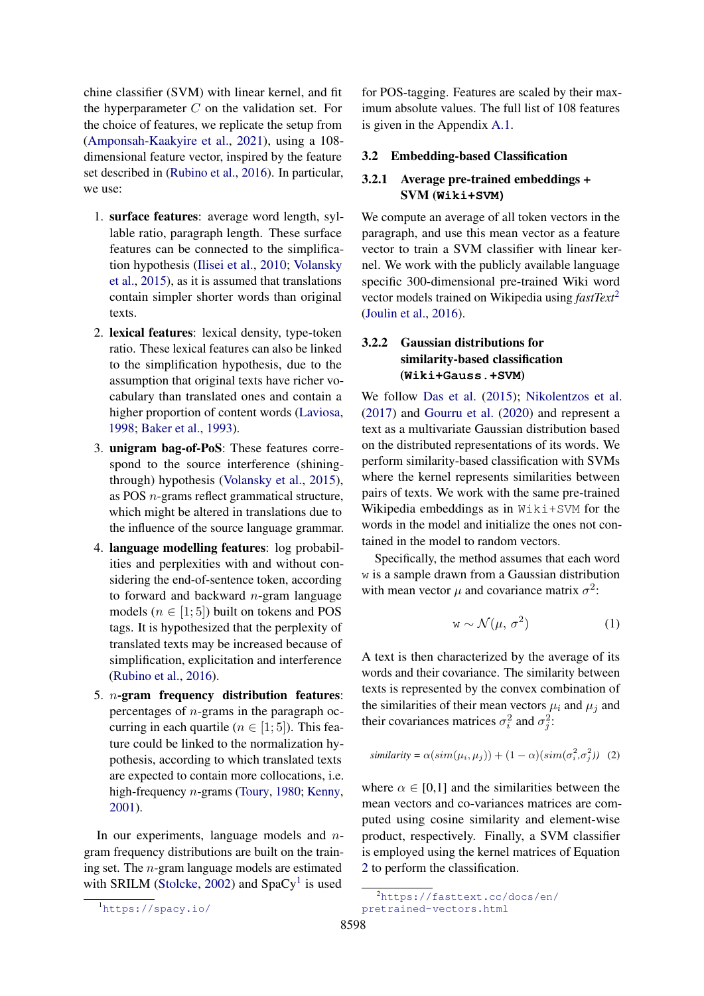chine classifier (SVM) with linear kernel, and fit the hyperparameter  $C$  on the validation set. For the choice of features, we replicate the setup from [\(Amponsah-Kaakyire et al.,](#page-9-10) [2021\)](#page-9-10), using a 108 dimensional feature vector, inspired by the feature set described in [\(Rubino et al.,](#page-10-1) [2016\)](#page-10-1). In particular, we use:

- 1. surface features: average word length, syllable ratio, paragraph length. These surface features can be connected to the simplification hypothesis [\(Ilisei et al.,](#page-9-12) [2010;](#page-9-12) [Volansky](#page-10-0) [et al.,](#page-10-0) [2015\)](#page-10-0), as it is assumed that translations contain simpler shorter words than original texts.
- 2. lexical features: lexical density, type-token ratio. These lexical features can also be linked to the simplification hypothesis, due to the assumption that original texts have richer vocabulary than translated ones and contain a higher proportion of content words [\(Laviosa,](#page-10-17) [1998;](#page-10-17) [Baker et al.,](#page-9-13) [1993\)](#page-9-13).
- 3. unigram bag-of-PoS: These features correspond to the source interference (shiningthrough) hypothesis [\(Volansky et al.,](#page-10-0) [2015\)](#page-10-0), as POS n-grams reflect grammatical structure, which might be altered in translations due to the influence of the source language grammar.
- 4. language modelling features: log probabilities and perplexities with and without considering the end-of-sentence token, according to forward and backward  $n$ -gram language models ( $n \in [1, 5]$ ) built on tokens and POS tags. It is hypothesized that the perplexity of translated texts may be increased because of simplification, explicitation and interference [\(Rubino et al.,](#page-10-1) [2016\)](#page-10-1).
- 5.  $n$ -gram frequency distribution features: percentages of n-grams in the paragraph occurring in each quartile ( $n \in [1, 5]$ ). This feature could be linked to the normalization hypothesis, according to which translated texts are expected to contain more collocations, i.e. high-frequency *n*-grams [\(Toury,](#page-10-18) [1980;](#page-10-18) [Kenny,](#page-10-19) [2001\)](#page-10-19).

In our experiments, language models and  $n$ gram frequency distributions are built on the training set. The n-gram language models are estimated with SRILM [\(Stolcke,](#page-10-20) [2002\)](#page-10-20) and Spa $Cy<sup>1</sup>$  $Cy<sup>1</sup>$  $Cy<sup>1</sup>$  is used

for POS-tagging. Features are scaled by their maximum absolute values. The full list of 108 features is given in the Appendix [A.1.](#page-11-0)

### 3.2 Embedding-based Classification

## 3.2.1 Average pre-trained embeddings + SVM (**Wiki+SVM)**

We compute an average of all token vectors in the paragraph, and use this mean vector as a feature vector to train a SVM classifier with linear kernel. We work with the publicly available language specific 300-dimensional pre-trained Wiki word vector models trained on Wikipedia using *fastText*[2](#page-2-1) [\(Joulin et al.,](#page-9-14) [2016\)](#page-9-14).

# 3.2.2 Gaussian distributions for similarity-based classification (**Wiki+Gauss.+SVM**)

We follow [Das et al.](#page-9-15) [\(2015\)](#page-9-15); [Nikolentzos et al.](#page-10-21) [\(2017\)](#page-10-21) and [Gourru et al.](#page-9-16) [\(2020\)](#page-9-16) and represent a text as a multivariate Gaussian distribution based on the distributed representations of its words. We perform similarity-based classification with SVMs where the kernel represents similarities between pairs of texts. We work with the same pre-trained Wikipedia embeddings as in Wiki+SVM for the words in the model and initialize the ones not contained in the model to random vectors.

Specifically, the method assumes that each word w is a sample drawn from a Gaussian distribution with mean vector  $\mu$  and covariance matrix  $\sigma^2$ :

<span id="page-2-2"></span>
$$
w \sim \mathcal{N}(\mu, \sigma^2) \tag{1}
$$

A text is then characterized by the average of its words and their covariance. The similarity between texts is represented by the convex combination of the similarities of their mean vectors  $\mu_i$  and  $\mu_j$  and their covariances matrices  $\sigma_i^2$  and  $\sigma_j^2$ .

$$
similarity = \alpha(sim(\mu_i, \mu_j)) + (1 - \alpha)(sim(\sigma_i^2, \sigma_j^2))
$$
 (2)

where  $\alpha \in [0,1]$  and the similarities between the mean vectors and co-variances matrices are computed using cosine similarity and element-wise product, respectively. Finally, a SVM classifier is employed using the kernel matrices of Equation [2](#page-2-2) to perform the classification.

<span id="page-2-0"></span><sup>1</sup><https://spacy.io/>

<span id="page-2-1"></span><sup>2</sup>[https://fasttext.cc/docs/en/](https://fasttext.cc/docs/en/pretrained-vectors.html) [pretrained-vectors.html](https://fasttext.cc/docs/en/pretrained-vectors.html)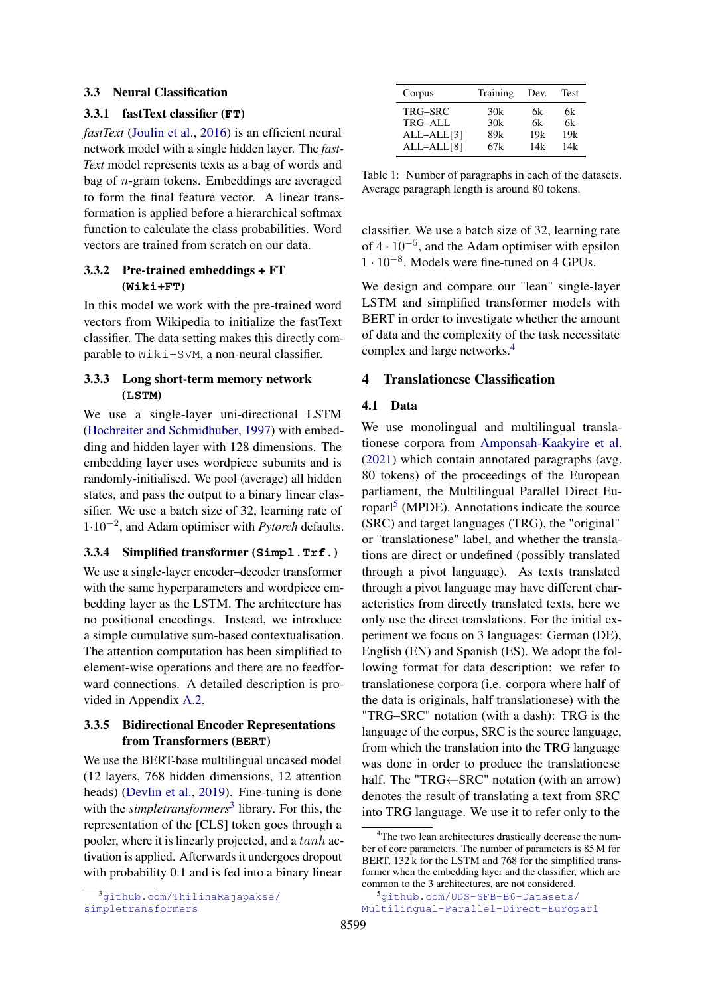#### 3.3 Neural Classification

#### 3.3.1 fastText classifier (**FT**)

*fastText* [\(Joulin et al.,](#page-9-14) [2016\)](#page-9-14) is an efficient neural network model with a single hidden layer. The *fast-Text* model represents texts as a bag of words and bag of n-gram tokens. Embeddings are averaged to form the final feature vector. A linear transformation is applied before a hierarchical softmax function to calculate the class probabilities. Word vectors are trained from scratch on our data.

### 3.3.2 Pre-trained embeddings + FT (**Wiki+FT**)

In this model we work with the pre-trained word vectors from Wikipedia to initialize the fastText classifier. The data setting makes this directly comparable to Wiki+SVM, a non-neural classifier.

## 3.3.3 Long short-term memory network (**LSTM**)

We use a single-layer uni-directional LSTM [\(Hochreiter and Schmidhuber,](#page-9-17) [1997\)](#page-9-17) with embedding and hidden layer with 128 dimensions. The embedding layer uses wordpiece subunits and is randomly-initialised. We pool (average) all hidden states, and pass the output to a binary linear classifier. We use a batch size of 32, learning rate of 1·10−<sup>2</sup> , and Adam optimiser with *Pytorch* defaults.

# 3.3.4 Simplified transformer (**Simpl.Trf.**)

We use a single-layer encoder–decoder transformer with the same hyperparameters and wordpiece embedding layer as the LSTM. The architecture has no positional encodings. Instead, we introduce a simple cumulative sum-based contextualisation. The attention computation has been simplified to element-wise operations and there are no feedforward connections. A detailed description is provided in Appendix [A.2.](#page-14-0)

## 3.3.5 Bidirectional Encoder Representations from Transformers (**BERT**)

We use the BERT-base multilingual uncased model (12 layers, 768 hidden dimensions, 12 attention heads) [\(Devlin et al.,](#page-9-18) [2019\)](#page-9-18). Fine-tuning is done with the *simpletransformers*<sup>[3](#page-3-1)</sup> library. For this, the representation of the [CLS] token goes through a pooler, where it is linearly projected, and a tanh activation is applied. Afterwards it undergoes dropout with probability 0.1 and is fed into a binary linear

<span id="page-3-4"></span>

| Corpus         | Training | Dev. | Test |
|----------------|----------|------|------|
| TRG-SRC        | 30k      | 6k   | 6k   |
| <b>TRG-ALL</b> | 30k      | 6k   | 6k   |
| ALL-ALL[3]     | 89k      | 19k  | 19k  |
| ALL-ALL[8]     | 67k      | 14k  | 14k  |

Table 1: Number of paragraphs in each of the datasets. Average paragraph length is around 80 tokens.

classifier. We use a batch size of 32, learning rate of  $4 \cdot 10^{-5}$ , and the Adam optimiser with epsilon 1 · 10−<sup>8</sup> . Models were fine-tuned on 4 GPUs.

We design and compare our "lean" single-layer LSTM and simplified transformer models with BERT in order to investigate whether the amount of data and the complexity of the task necessitate complex and large networks.[4](#page-3-2)

### <span id="page-3-0"></span>4 Translationese Classification

#### 4.1 Data

We use monolingual and multilingual translationese corpora from [Amponsah-Kaakyire et al.](#page-9-10) [\(2021\)](#page-9-10) which contain annotated paragraphs (avg. 80 tokens) of the proceedings of the European parliament, the Multilingual Parallel Direct Eu-roparl<sup>[5](#page-3-3)</sup> (MPDE). Annotations indicate the source (SRC) and target languages (TRG), the "original" or "translationese" label, and whether the translations are direct or undefined (possibly translated through a pivot language). As texts translated through a pivot language may have different characteristics from directly translated texts, here we only use the direct translations. For the initial experiment we focus on 3 languages: German (DE), English (EN) and Spanish (ES). We adopt the following format for data description: we refer to translationese corpora (i.e. corpora where half of the data is originals, half translationese) with the "TRG–SRC" notation (with a dash): TRG is the language of the corpus, SRC is the source language, from which the translation into the TRG language was done in order to produce the translationese half. The "TRG←SRC" notation (with an arrow) denotes the result of translating a text from SRC into TRG language. We use it to refer only to the

<span id="page-3-1"></span><sup>3</sup>[github.com/ThilinaRajapakse/](github.com/ThilinaRajapakse/simpletransformers) [simpletransformers](github.com/ThilinaRajapakse/simpletransformers)

<span id="page-3-2"></span><sup>&</sup>lt;sup>4</sup>The two lean architectures drastically decrease the number of core parameters. The number of parameters is 85 M for BERT, 132 k for the LSTM and 768 for the simplified transformer when the embedding layer and the classifier, which are common to the 3 architectures, are not considered.

<span id="page-3-3"></span><sup>&</sup>lt;sup>5</sup>[github.com/UDS-SFB-B6-Datasets/](github.com/UDS-SFB-B6-Datasets/Multilingual-Parallel-Direct-Europarl) [Multilingual-Parallel-Direct-Europarl](github.com/UDS-SFB-B6-Datasets/Multilingual-Parallel-Direct-Europarl)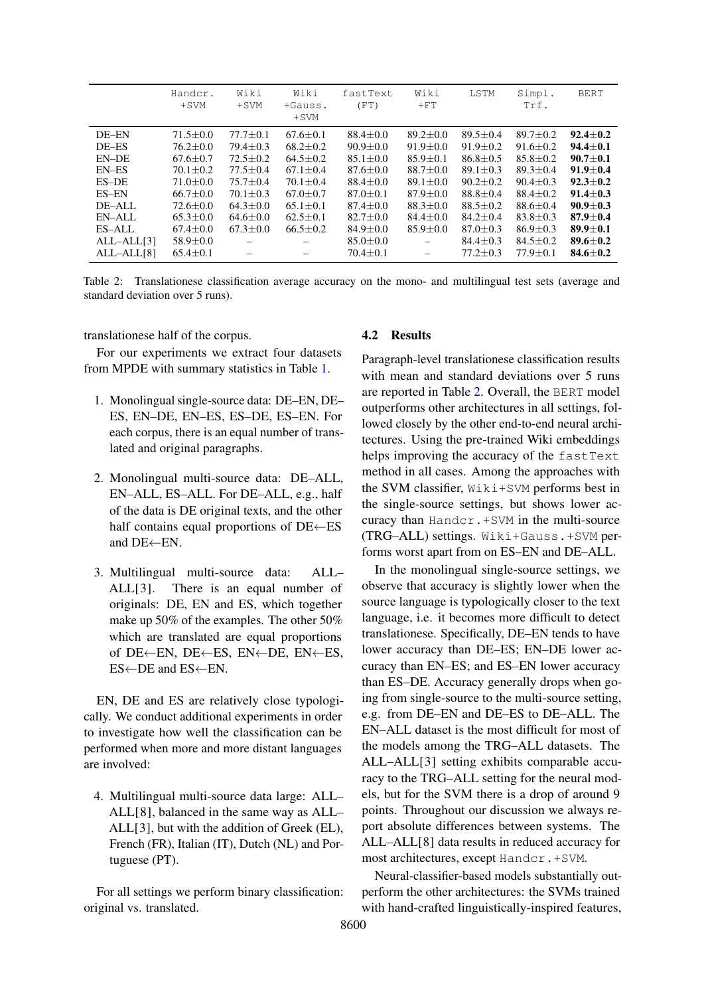<span id="page-4-0"></span>

|              | Handcr.<br>$+$ SVM | Wiki<br>$+$ SVM | Wiki<br>+Gauss.<br>$+$ SVM | fastText<br>(FT) | Wiki<br>$+FT$  | LSTM           | Simpl.<br>Trf. | <b>BERT</b>    |
|--------------|--------------------|-----------------|----------------------------|------------------|----------------|----------------|----------------|----------------|
| DE-EN        | $71.5 + 0.0$       | $77.7+0.1$      | $67.6 \pm 0.1$             | $88.4 + 0.0$     | $89.2 + 0.0$   | $89.5 \pm 0.4$ | $89.7 \pm 0.2$ | $92.4 + 0.2$   |
| DE-ES        | $76.2 + 0.0$       | $79.4 + 0.3$    | $68.2 + 0.2$               | $90.9 \pm 0.0$   | $91.9 \pm 0.0$ | $91.9 \pm 0.2$ | $91.6 \pm 0.2$ | $94.4 + 0.1$   |
| EN-DE        | $67.6 + 0.7$       | $72.5 + 0.2$    | $64.5 + 0.2$               | $85.1 + 0.0$     | $85.9 + 0.1$   | $86.8 \pm 0.5$ | $85.8 + 0.2$   | $90.7 + 0.1$   |
| EN-ES        | $70.1 \pm 0.2$     | $77.5 \pm 0.4$  | $67.1 \pm 0.4$             | $87.6 \pm 0.0$   | $88.7 \pm 0.0$ | $89.1 \pm 0.3$ | $89.3 \pm 0.4$ | $91.9 \pm 0.4$ |
| <b>ES-DE</b> | $71.0 + 0.0$       | $75.7 + 0.4$    | $70.1 + 0.4$               | $88.4 + 0.0$     | $89.1 + 0.0$   | $90.2 + 0.2$   | $90.4 + 0.3$   | $92.3 + 0.2$   |
| ES-EN        | $66.7 + 0.0$       | $70.1 + 0.3$    | $67.0 \pm 0.7$             | $87.0 \pm 0.1$   | $87.9 \pm 0.0$ | $88.8 \pm 0.4$ | $88.4 \pm 0.2$ | $91.4 \pm 0.3$ |
| DE-ALL       | $72.6 + 0.0$       | $64.3 + 0.0$    | $65.1 + 0.1$               | $87.4 + 0.0$     | $88.3 \pm 0.0$ | $88.5 \pm 0.2$ | $88.6 \pm 0.4$ | $90.9 + 0.3$   |
| EN-ALL       | $65.3 \pm 0.0$     | $64.6 + 0.0$    | $62.5 + 0.1$               | $82.7+0.0$       | $84.4 + 0.0$   | $84.2 + 0.4$   | $83.8 + 0.3$   | $87.9 + 0.4$   |
| ES-ALL       | $67.4 + 0.0$       | $67.3 + 0.0$    | $66.5 + 0.2$               | $84.9 \pm 0.0$   | $85.9 + 0.0$   | $87.0 \pm 0.3$ | $86.9 + 0.3$   | $89.9 + 0.1$   |
| $ALL-ALL[3]$ | $58.9 \pm 0.0$     |                 |                            | $85.0 + 0.0$     |                | $84.4 \pm 0.3$ | $84.5 + 0.2$   | $89.6 + 0.2$   |
| ALL-ALL[8]   | $65.4 \pm 0.1$     |                 |                            | $70.4 \pm 0.1$   |                | $77.2 \pm 0.3$ | $77.9 + 0.1$   | $84.6 + 0.2$   |

Table 2: Translationese classification average accuracy on the mono- and multilingual test sets (average and standard deviation over 5 runs).

translationese half of the corpus.

For our experiments we extract four datasets from MPDE with summary statistics in Table [1.](#page-3-4)

- 1. Monolingual single-source data: DE–EN, DE– ES, EN–DE, EN–ES, ES–DE, ES–EN. For each corpus, there is an equal number of translated and original paragraphs.
- 2. Monolingual multi-source data: DE–ALL, EN–ALL, ES–ALL. For DE–ALL, e.g., half of the data is DE original texts, and the other half contains equal proportions of DE←ES and DE←EN.
- 3. Multilingual multi-source data: ALL– ALL[3]. There is an equal number of originals: DE, EN and ES, which together make up 50% of the examples. The other 50% which are translated are equal proportions of DE←EN, DE←ES, EN←DE, EN←ES, ES←DE and ES←EN.

EN, DE and ES are relatively close typologically. We conduct additional experiments in order to investigate how well the classification can be performed when more and more distant languages are involved:

4. Multilingual multi-source data large: ALL– ALL[8], balanced in the same way as ALL– ALL[3], but with the addition of Greek (EL), French (FR), Italian (IT), Dutch (NL) and Portuguese (PT).

For all settings we perform binary classification: original vs. translated.

#### 4.2 Results

Paragraph-level translationese classification results with mean and standard deviations over 5 runs are reported in Table [2.](#page-4-0) Overall, the BERT model outperforms other architectures in all settings, followed closely by the other end-to-end neural architectures. Using the pre-trained Wiki embeddings helps improving the accuracy of the fastText method in all cases. Among the approaches with the SVM classifier, Wiki+SVM performs best in the single-source settings, but shows lower accuracy than Handcr.+SVM in the multi-source (TRG–ALL) settings. Wiki+Gauss.+SVM performs worst apart from on ES–EN and DE–ALL.

In the monolingual single-source settings, we observe that accuracy is slightly lower when the source language is typologically closer to the text language, i.e. it becomes more difficult to detect translationese. Specifically, DE–EN tends to have lower accuracy than DE–ES; EN–DE lower accuracy than EN–ES; and ES–EN lower accuracy than ES–DE. Accuracy generally drops when going from single-source to the multi-source setting, e.g. from DE–EN and DE–ES to DE–ALL. The EN–ALL dataset is the most difficult for most of the models among the TRG–ALL datasets. The ALL–ALL[3] setting exhibits comparable accuracy to the TRG–ALL setting for the neural models, but for the SVM there is a drop of around 9 points. Throughout our discussion we always report absolute differences between systems. The ALL–ALL[8] data results in reduced accuracy for most architectures, except Handcr.+SVM.

Neural-classifier-based models substantially outperform the other architectures: the SVMs trained with hand-crafted linguistically-inspired features,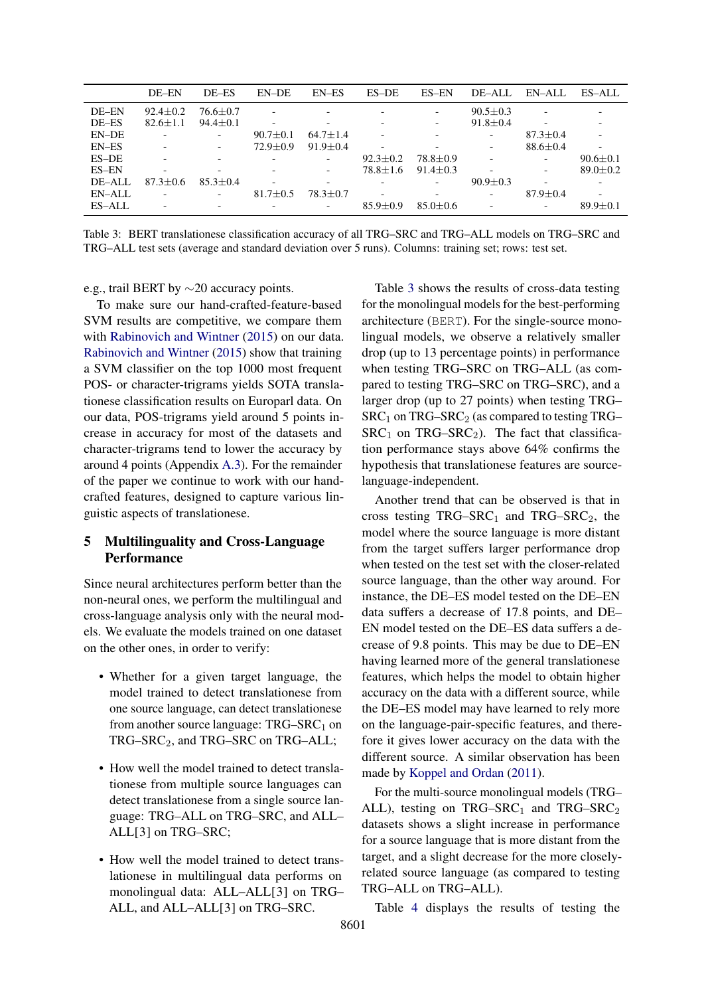<span id="page-5-1"></span>

|              | DE-EN                    | DE-ES                    | EN-DE                    | EN-ES                    | ES-DE                    | <b>ES-EN</b>             | DE-ALL                   | EN-ALL                   | ES-ALL                   |
|--------------|--------------------------|--------------------------|--------------------------|--------------------------|--------------------------|--------------------------|--------------------------|--------------------------|--------------------------|
| DE-EN        | $92.4 \pm 0.2$           | $76.6 \pm 0.7$           | $\overline{\phantom{0}}$ | $\overline{\phantom{a}}$ | $\overline{\phantom{0}}$ | $\overline{\phantom{0}}$ | $90.5 \pm 0.3$           | $\overline{\phantom{a}}$ |                          |
| DE-ES        | $82.6 \pm 1.1$           | $94.4 \pm 0.1$           |                          | $\overline{\phantom{a}}$ |                          | $\overline{\phantom{a}}$ | $91.8 \pm 0.4$           |                          |                          |
| EN-DE        |                          | $\overline{\phantom{a}}$ | $90.7 \pm 0.1$           | $64.7 + 1.4$             | $\overline{\phantom{0}}$ |                          | $\overline{\phantom{a}}$ | $87.3 \pm 0.4$           |                          |
| <b>EN-ES</b> | $\overline{\phantom{a}}$ | $\overline{\phantom{a}}$ | $72.9 + 0.9$             | $91.9 \pm 0.4$           | $\overline{\phantom{0}}$ | $\overline{\phantom{a}}$ | $\overline{\phantom{a}}$ | $88.6 \pm 0.4$           |                          |
| <b>ES-DE</b> |                          | $\overline{\phantom{a}}$ |                          | $\overline{\phantom{a}}$ | $92.3 \pm 0.2$           | $78.8 \pm 0.9$           | $\overline{\phantom{a}}$ | $\overline{\phantom{a}}$ | $90.6 \pm 0.1$           |
| ES-EN        |                          | $\overline{\phantom{a}}$ |                          | $\overline{\phantom{a}}$ | $78.8 + 1.6$             | $91.4 \pm 0.3$           |                          | $\overline{\phantom{0}}$ | $89.0 + 0.2$             |
| DE-ALL       | $87.3 + 0.6$             | $85.3 + 0.4$             | $\overline{\phantom{a}}$ | $\overline{\phantom{a}}$ | $\overline{\phantom{0}}$ | $\overline{\phantom{0}}$ | $90.9 \pm 0.3$           |                          | $\overline{\phantom{0}}$ |
| EN-ALL       |                          | $\overline{\phantom{a}}$ | $81.7 + 0.5$             | $78.3 \pm 0.7$           |                          |                          |                          | $87.9 \pm 0.4$           |                          |
| ES-ALL       | ٠                        | $\overline{\phantom{a}}$ |                          | $\overline{\phantom{a}}$ | $85.9 + 0.9$             | $85.0 + 0.6$             | $\overline{\phantom{a}}$ |                          | $89.9 + 0.1$             |

Table 3: BERT translationese classification accuracy of all TRG–SRC and TRG–ALL models on TRG–SRC and TRG–ALL test sets (average and standard deviation over 5 runs). Columns: training set; rows: test set.

e.g., trail BERT by ∼20 accuracy points.

To make sure our hand-crafted-feature-based SVM results are competitive, we compare them with [Rabinovich and Wintner](#page-10-2) [\(2015\)](#page-10-2) on our data. [Rabinovich and Wintner](#page-10-2) [\(2015\)](#page-10-2) show that training a SVM classifier on the top 1000 most frequent POS- or character-trigrams yields SOTA translationese classification results on Europarl data. On our data, POS-trigrams yield around 5 points increase in accuracy for most of the datasets and character-trigrams tend to lower the accuracy by around 4 points (Appendix [A.3\)](#page-15-0). For the remainder of the paper we continue to work with our handcrafted features, designed to capture various linguistic aspects of translationese.

# <span id="page-5-0"></span>5 Multilinguality and Cross-Language Performance

Since neural architectures perform better than the non-neural ones, we perform the multilingual and cross-language analysis only with the neural models. We evaluate the models trained on one dataset on the other ones, in order to verify:

- Whether for a given target language, the model trained to detect translationese from one source language, can detect translationese from another source language:  $TRG-SRC<sub>1</sub>$  on TRG–SRC<sub>2</sub>, and TRG–SRC on TRG–ALL;
- How well the model trained to detect translationese from multiple source languages can detect translationese from a single source language: TRG–ALL on TRG–SRC, and ALL– ALL[3] on TRG–SRC;
- How well the model trained to detect translationese in multilingual data performs on monolingual data: ALL–ALL[3] on TRG– ALL, and ALL–ALL[3] on TRG–SRC.

Table [3](#page-5-1) shows the results of cross-data testing for the monolingual models for the best-performing architecture (BERT). For the single-source monolingual models, we observe a relatively smaller drop (up to 13 percentage points) in performance when testing TRG–SRC on TRG–ALL (as compared to testing TRG–SRC on TRG–SRC), and a larger drop (up to 27 points) when testing TRG–  $SRC<sub>1</sub>$  on TRG–SRC<sub>2</sub> (as compared to testing TRG–  $SRC<sub>1</sub>$  on TRG–SRC<sub>2</sub>). The fact that classification performance stays above 64% confirms the hypothesis that translationese features are sourcelanguage-independent.

Another trend that can be observed is that in cross testing  $TRG-SRC_1$  and  $TRG-SRC_2$ , the model where the source language is more distant from the target suffers larger performance drop when tested on the test set with the closer-related source language, than the other way around. For instance, the DE–ES model tested on the DE–EN data suffers a decrease of 17.8 points, and DE– EN model tested on the DE–ES data suffers a decrease of 9.8 points. This may be due to DE–EN having learned more of the general translationese features, which helps the model to obtain higher accuracy on the data with a different source, while the DE–ES model may have learned to rely more on the language-pair-specific features, and therefore it gives lower accuracy on the data with the different source. A similar observation has been made by [Koppel and Ordan](#page-10-12) [\(2011\)](#page-10-12).

For the multi-source monolingual models (TRG– ALL), testing on  $TRG-SRC_1$  and  $TRG-SRC_2$ datasets shows a slight increase in performance for a source language that is more distant from the target, and a slight decrease for the more closelyrelated source language (as compared to testing TRG–ALL on TRG–ALL).

Table [4](#page-6-0) displays the results of testing the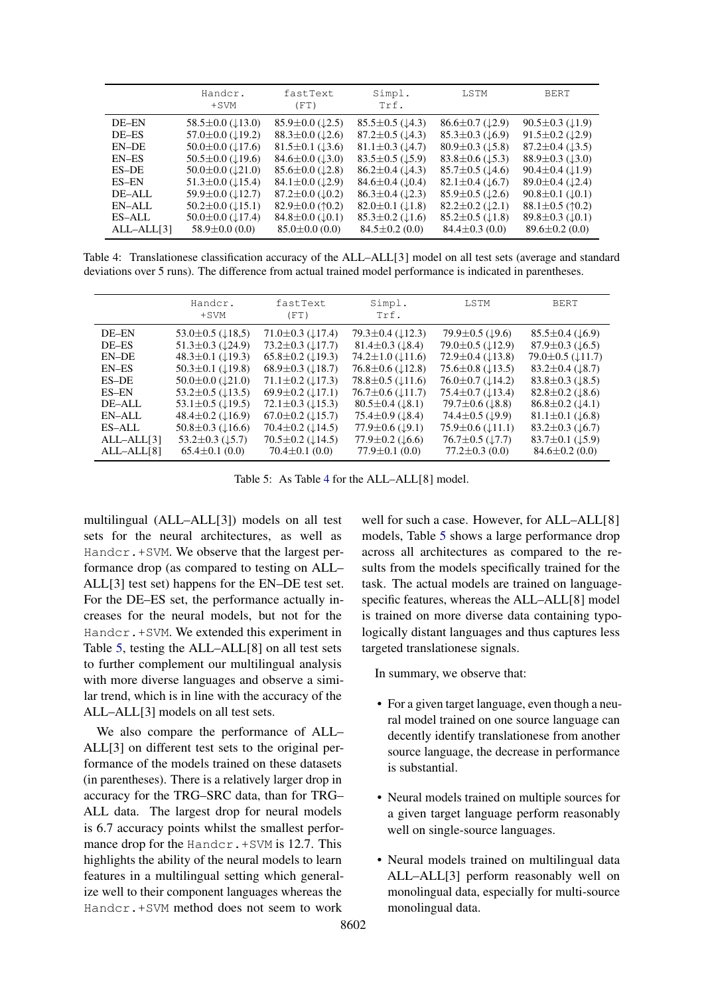<span id="page-6-0"></span>

|              | Handcr.<br>$+$ SVM                  | fastText<br>(FT)                    | Simpl.<br>Trf.                      | LSTM                                | <b>BERT</b>                         |
|--------------|-------------------------------------|-------------------------------------|-------------------------------------|-------------------------------------|-------------------------------------|
| DE-EN        | 58.5 $\pm$ 0.0 ( $\downarrow$ 13.0) | 85.9 $\pm$ 0.0 ( $\downarrow$ 2.5)  | $85.5 \pm 0.5$ ( $\downarrow 4.3$ ) | $86.6 \pm 0.7$ ( $\downarrow$ 2.9)  | $90.5 \pm 0.3$ ( $\downarrow$ 1.9)  |
| DE-ES        | 57.0 $\pm$ 0.0 ( $\downarrow$ 19.2) | $88.3 \pm 0.0$ ( $\downarrow$ 2.6)  | $87.2 \pm 0.5$ ( $\downarrow 4.3$ ) | $85.3 \pm 0.3$ ( $\downarrow 6.9$ ) | $91.5 \pm 0.2$ ( $\downarrow$ 2.9)  |
| EN-DE        | $50.0 \pm 0.0$ ( $\downarrow$ 17.6) | $81.5 \pm 0.1$ ( $\downarrow 3.6$ ) | $81.1 \pm 0.3$ ( $\downarrow 4.7$ ) | $80.9 \pm 0.3$ (15.8)               | $87.2 \pm 0.4$ ( $\downarrow$ 3.5)  |
| EN-ES        | $50.5 \pm 0.0$ ( $\downarrow$ 19.6) | $84.6 \pm 0.0$ ( $\downarrow$ 3.0)  | $83.5 \pm 0.5$ ( $\downarrow$ 5.9)  | $83.8 \pm 0.6$ (15.3)               | 88.9 $\pm$ 0.3 ( $\downarrow$ 3.0)  |
| ES-DE        | $50.0 \pm 0.0$ ( $\downarrow$ 21.0) | $85.6 \pm 0.0$ ( $\downarrow$ 2.8)  | $86.2 \pm 0.4$ ( $\downarrow$ 4.3)  | $85.7 \pm 0.5$ ( $\downarrow$ 4.6)  | $90.4 \pm 0.4$ ( $\downarrow$ 1.9)  |
| ES-EN        | $51.3 \pm 0.0$ ( $\downarrow$ 15.4) | 84.1 $\pm$ 0.0 ( $\downarrow$ 2.9)  | 84.6 $\pm$ 0.4 ( $\downarrow$ 0.4)  | $82.1 \pm 0.4$ ( $\downarrow 6.7$ ) | 89.0 $\pm$ 0.4 ( $\downarrow$ 2.4)  |
| DE-ALL       | 59.9 $\pm$ 0.0 ( $\downarrow$ 12.7) | $87.2 \pm 0.0$ ( $\downarrow 0.2$ ) | $86.3 \pm 0.4$ ( $\downarrow$ 2.3)  | $85.9 \pm 0.5$ ( $\downarrow$ 2.6)  | $90.8 \pm 0.1$ ( $\downarrow 0.1$ ) |
| EN-ALL       | $50.2 \pm 0.0$ ( $\downarrow$ 15.1) | 82.9 $\pm$ 0.0 ( $\uparrow$ 0.2)    | 82.0 $\pm$ 0.1 ( $\downarrow$ 1.8)  | $82.2 \pm 0.2$ ( $\downarrow$ 2.1)  | $88.1 \pm 0.5$ ( $\uparrow$ 0.2)    |
| ES-ALL       | $50.0 \pm 0.0$ ( $\downarrow$ 17.4) | $84.8 \pm 0.0$ ( $\downarrow$ 0.1)  | $85.3 \pm 0.2 \ (1.6)$              | $85.2 \pm 0.5$ ( $\downarrow$ 1.8)  | $89.8 \pm 0.3$ ( $\downarrow$ 0.1)  |
| $ALL-ALL[3]$ | $58.9 \pm 0.0$ (0.0)                | $85.0 \pm 0.0$ (0.0)                | $84.5 \pm 0.2$ (0.0)                | $84.4 \pm 0.3$ (0.0)                | $89.6 \pm 0.2(0.0)$                 |

Table 4: Translationese classification accuracy of the ALL–ALL[3] model on all test sets (average and standard deviations over 5 runs). The difference from actual trained model performance is indicated in parentheses.

<span id="page-6-1"></span>

|            | Handcr.<br>$+$ SVM                  | fastText<br>(FT)                    | Simpl.<br>Trf.                      | LSTM                                | <b>BERT</b>                         |
|------------|-------------------------------------|-------------------------------------|-------------------------------------|-------------------------------------|-------------------------------------|
| DE-EN      | 53.0 $\pm$ 0.5 ( $\downarrow$ 18,5) | 71.0 $\pm$ 0.3 ( $\downarrow$ 17.4) | $79.3 \pm 0.4$ ( $\downarrow$ 12.3) | 79.9 $\pm$ 0.5 ( $\downarrow$ 9.6)  | $85.5 \pm 0.4$ ( $\downarrow 6.9$ ) |
| DE-ES      | $51.3 \pm 0.3$ ( $\downarrow$ 24.9) | $73.2 \pm 0.3$ ( $\downarrow$ 17.7) | $81.4 \pm 0.3$ ( $\downarrow 8.4$ ) | $79.0 \pm 0.5$ ( $\downarrow$ 12.9) | $87.9 \pm 0.3$ ( $\downarrow 6.5$ ) |
| EN-DE      | 48.3 $\pm$ 0.1 ( $\downarrow$ 19.3) | $65.8 \pm 0.2$ ( $\downarrow$ 19.3) | $74.2 \pm 1.0$ ( $\downarrow$ 11.6) | $72.9 \pm 0.4$ ( $\downarrow$ 13.8) | $79.0 \pm 0.5$ ( $\downarrow$ 11.7) |
| EN-ES      | $50.3 \pm 0.1$ ( $\downarrow$ 19.8) | 68.9 $\pm$ 0.3 ( $\downarrow$ 18.7) | $76.8 \pm 0.6$ ( $\downarrow$ 12.8) | 75.6 $\pm$ 0.8 ( $\downarrow$ 13.5) | $83.2 \pm 0.4$ ( $\downarrow$ 8.7)  |
| ES-DE      | $50.0 \pm 0.0$ ( $\downarrow$ 21.0) | 71.1 $\pm$ 0.2 ( $\downarrow$ 17.3) | $78.8 \pm 0.5$ ( $\downarrow$ 11.6) | $76.0 \pm 0.7$ ( $\downarrow$ 14.2) | $83.8 \pm 0.3$ ( $\downarrow$ 8.5)  |
| ES-EN      | $53.2 \pm 0.5$ ( $\downarrow$ 13.5) | 69.9 $\pm$ 0.2 ( $\downarrow$ 17.1) | $76.7 \pm 0.6$ ( $\downarrow$ 11.7) | $75.4 \pm 0.7 \ (\pm 13.4)$         | $82.8 \pm 0.2$ ( $\downarrow 8.6$ ) |
| DE-ALL     | 53.1 $\pm$ 0.5 ( $\downarrow$ 19.5) | $72.1 \pm 0.3$ ( $\downarrow$ 15.3) | $80.5 \pm 0.4$ ( $\downarrow$ 8.1)  | 79.7 $\pm$ 0.6 ( $\downarrow$ 8.8)  | $86.8 \pm 0.2$ ( $\downarrow 4.1$ ) |
| EN-ALL     | $48.4 \pm 0.2$ ( $\downarrow$ 16.9) | $67.0 \pm 0.2$ ( $\downarrow$ 15.7) | $75.4 \pm 0.9$ ( $\downarrow$ 8.4)  | 74.4 $\pm$ 0.5 ( $\downarrow$ 9.9)  | 81.1 $\pm$ 0.1 ( $\downarrow$ 6.8)  |
| ES-ALL     | $50.8 \pm 0.3$ ( $\downarrow$ 16.6) | $70.4 \pm 0.2$ ( $\downarrow$ 14.5) | 77.9 $\pm$ 0.6 ( $\downarrow$ 9.1)  | $75.9 \pm 0.6$ ( $\downarrow$ 11.1) | $83.2 \pm 0.3$ ( $\downarrow 6.7$ ) |
| ALL-ALL[3] | $53.2 \pm 0.3$ (15.7)               | $70.5 \pm 0.2$ ( $\downarrow$ 14.5) | 77.9 $\pm$ 0.2 ( $\downarrow$ 6.6)  | $76.7 \pm 0.5$ (17.7)               | 83.7 $\pm$ 0.1 ( $\downarrow$ 5.9)  |
| ALL-ALL[8] | $65.4 \pm 0.1$ (0.0)                | $70.4 \pm 0.1$ (0.0)                | $77.9 \pm 0.1$ (0.0)                | $77.2 \pm 0.3$ (0.0)                | $84.6 \pm 0.2$ (0.0)                |

Table 5: As Table [4](#page-6-0) for the ALL–ALL[8] model.

multilingual (ALL–ALL[3]) models on all test sets for the neural architectures, as well as Handcr.+SVM. We observe that the largest performance drop (as compared to testing on ALL– ALL[3] test set) happens for the EN–DE test set. For the DE–ES set, the performance actually increases for the neural models, but not for the Handcr.+SVM. We extended this experiment in Table [5,](#page-6-1) testing the ALL–ALL[8] on all test sets to further complement our multilingual analysis with more diverse languages and observe a similar trend, which is in line with the accuracy of the ALL–ALL[3] models on all test sets.

We also compare the performance of ALL– ALL[3] on different test sets to the original performance of the models trained on these datasets (in parentheses). There is a relatively larger drop in accuracy for the TRG–SRC data, than for TRG– ALL data. The largest drop for neural models is 6.7 accuracy points whilst the smallest performance drop for the Handcr.+SVM is 12.7. This highlights the ability of the neural models to learn features in a multilingual setting which generalize well to their component languages whereas the Handcr.+SVM method does not seem to work

well for such a case. However, for ALL–ALL[8] models, Table [5](#page-6-1) shows a large performance drop across all architectures as compared to the results from the models specifically trained for the task. The actual models are trained on languagespecific features, whereas the ALL–ALL[8] model is trained on more diverse data containing typologically distant languages and thus captures less targeted translationese signals.

In summary, we observe that:

- For a given target language, even though a neural model trained on one source language can decently identify translationese from another source language, the decrease in performance is substantial.
- Neural models trained on multiple sources for a given target language perform reasonably well on single-source languages.
- Neural models trained on multilingual data ALL–ALL[3] perform reasonably well on monolingual data, especially for multi-source monolingual data.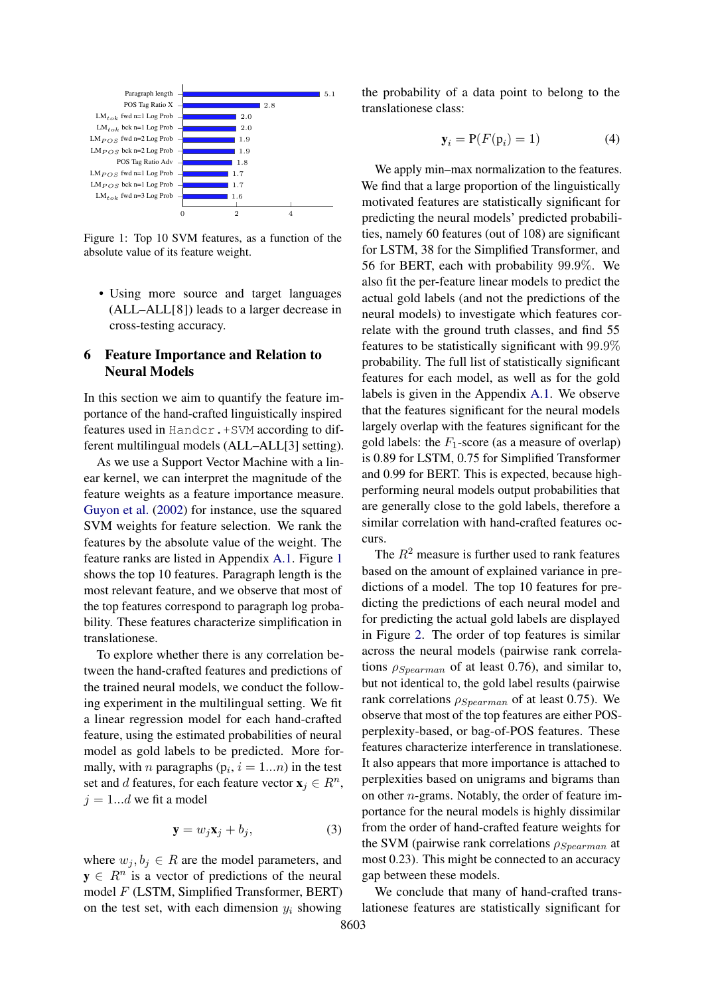<span id="page-7-1"></span>

Figure 1: Top 10 SVM features, as a function of the absolute value of its feature weight.

• Using more source and target languages (ALL–ALL[8]) leads to a larger decrease in cross-testing accuracy.

# <span id="page-7-0"></span>6 Feature Importance and Relation to Neural Models

In this section we aim to quantify the feature importance of the hand-crafted linguistically inspired features used in Handcr.+SVM according to different multilingual models (ALL–ALL[3] setting).

As we use a Support Vector Machine with a linear kernel, we can interpret the magnitude of the feature weights as a feature importance measure. [Guyon et al.](#page-9-19) [\(2002\)](#page-9-19) for instance, use the squared SVM weights for feature selection. We rank the features by the absolute value of the weight. The feature ranks are listed in Appendix [A.1.](#page-11-0) Figure [1](#page-7-1) shows the top 10 features. Paragraph length is the most relevant feature, and we observe that most of the top features correspond to paragraph log probability. These features characterize simplification in translationese.

To explore whether there is any correlation between the hand-crafted features and predictions of the trained neural models, we conduct the following experiment in the multilingual setting. We fit a linear regression model for each hand-crafted feature, using the estimated probabilities of neural model as gold labels to be predicted. More formally, with *n* paragraphs ( $p_i$ ,  $i = 1...n$ ) in the test set and d features, for each feature vector  $\mathbf{x}_j \in R^n$ ,  $j = 1...d$  we fit a model

$$
\mathbf{y} = w_j \mathbf{x}_j + b_j,\tag{3}
$$

where  $w_i, b_i \in R$  are the model parameters, and  $y \in R^n$  is a vector of predictions of the neural model F (LSTM, Simplified Transformer, BERT) on the test set, with each dimension  $y_i$  showing

the probability of a data point to belong to the translationese class:

$$
\mathbf{y}_i = \mathbf{P}(F(\mathbf{p}_i) = 1) \tag{4}
$$

We apply min–max normalization to the features. We find that a large proportion of the linguistically motivated features are statistically significant for predicting the neural models' predicted probabilities, namely 60 features (out of 108) are significant for LSTM, 38 for the Simplified Transformer, and 56 for BERT, each with probability 99.9%. We also fit the per-feature linear models to predict the actual gold labels (and not the predictions of the neural models) to investigate which features correlate with the ground truth classes, and find 55 features to be statistically significant with 99.9% probability. The full list of statistically significant features for each model, as well as for the gold labels is given in the Appendix [A.1.](#page-11-0) We observe that the features significant for the neural models largely overlap with the features significant for the gold labels: the  $F_1$ -score (as a measure of overlap) is 0.89 for LSTM, 0.75 for Simplified Transformer and 0.99 for BERT. This is expected, because highperforming neural models output probabilities that are generally close to the gold labels, therefore a similar correlation with hand-crafted features occurs.

The  $R<sup>2</sup>$  measure is further used to rank features based on the amount of explained variance in predictions of a model. The top 10 features for predicting the predictions of each neural model and for predicting the actual gold labels are displayed in Figure [2.](#page-8-1) The order of top features is similar across the neural models (pairwise rank correlations  $\rho_{Spearman}$  of at least 0.76), and similar to, but not identical to, the gold label results (pairwise rank correlations  $\rho_{Spearman}$  of at least 0.75). We observe that most of the top features are either POSperplexity-based, or bag-of-POS features. These features characterize interference in translationese. It also appears that more importance is attached to perplexities based on unigrams and bigrams than on other n-grams. Notably, the order of feature importance for the neural models is highly dissimilar from the order of hand-crafted feature weights for the SVM (pairwise rank correlations  $\rho_{Spearman}$  at most 0.23). This might be connected to an accuracy gap between these models.

We conclude that many of hand-crafted translationese features are statistically significant for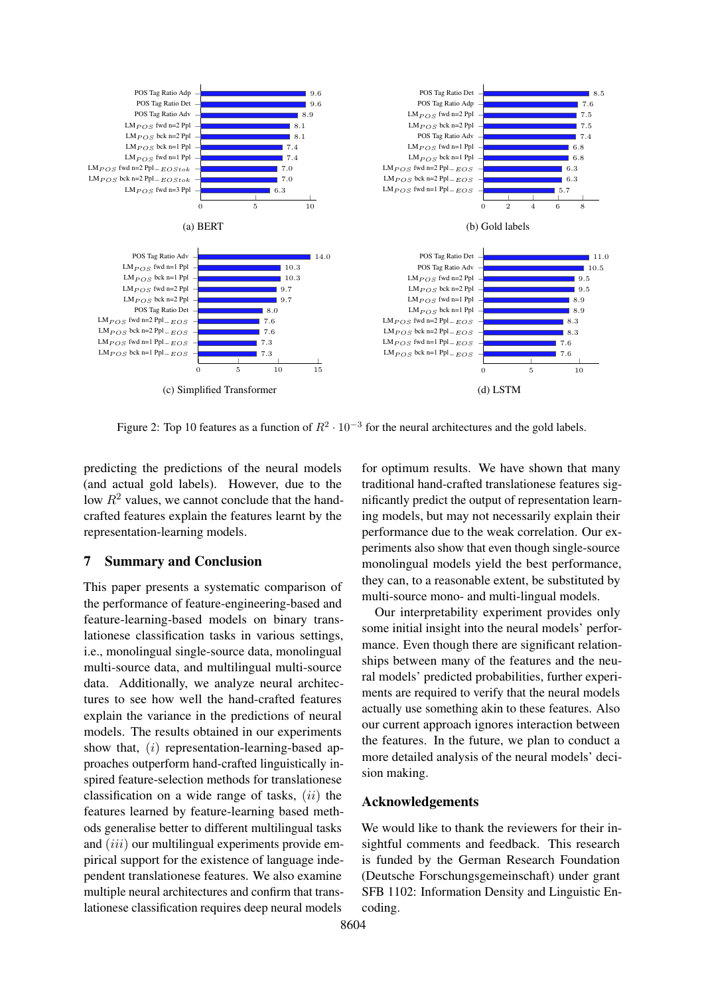<span id="page-8-1"></span>

Figure 2: Top 10 features as a function of  $R^2 \cdot 10^{-3}$  for the neural architectures and the gold labels.

predicting the predictions of the neural models (and actual gold labels). However, due to the low  $R^2$  values, we cannot conclude that the handcrafted features explain the features learnt by the representation-learning models.

#### <span id="page-8-0"></span>7 Summary and Conclusion

This paper presents a systematic comparison of the performance of feature-engineering-based and feature-learning-based models on binary translationese classification tasks in various settings, i.e., monolingual single-source data, monolingual multi-source data, and multilingual multi-source data. Additionally, we analyze neural architectures to see how well the hand-crafted features explain the variance in the predictions of neural models. The results obtained in our experiments show that,  $(i)$  representation-learning-based approaches outperform hand-crafted linguistically inspired feature-selection methods for translationese classification on a wide range of tasks,  $(ii)$  the features learned by feature-learning based methods generalise better to different multilingual tasks and *(iii)* our multilingual experiments provide empirical support for the existence of language independent translationese features. We also examine multiple neural architectures and confirm that translationese classification requires deep neural models

for optimum results. We have shown that many traditional hand-crafted translationese features significantly predict the output of representation learning models, but may not necessarily explain their performance due to the weak correlation. Our experiments also show that even though single-source monolingual models yield the best performance, they can, to a reasonable extent, be substituted by multi-source mono- and multi-lingual models.

Our interpretability experiment provides only some initial insight into the neural models' performance. Even though there are significant relationships between many of the features and the neural models' predicted probabilities, further experiments are required to verify that the neural models actually use something akin to these features. Also our current approach ignores interaction between the features. In the future, we plan to conduct a more detailed analysis of the neural models' decision making.

# Acknowledgements

We would like to thank the reviewers for their insightful comments and feedback. This research is funded by the German Research Foundation (Deutsche Forschungsgemeinschaft) under grant SFB 1102: Information Density and Linguistic Encoding.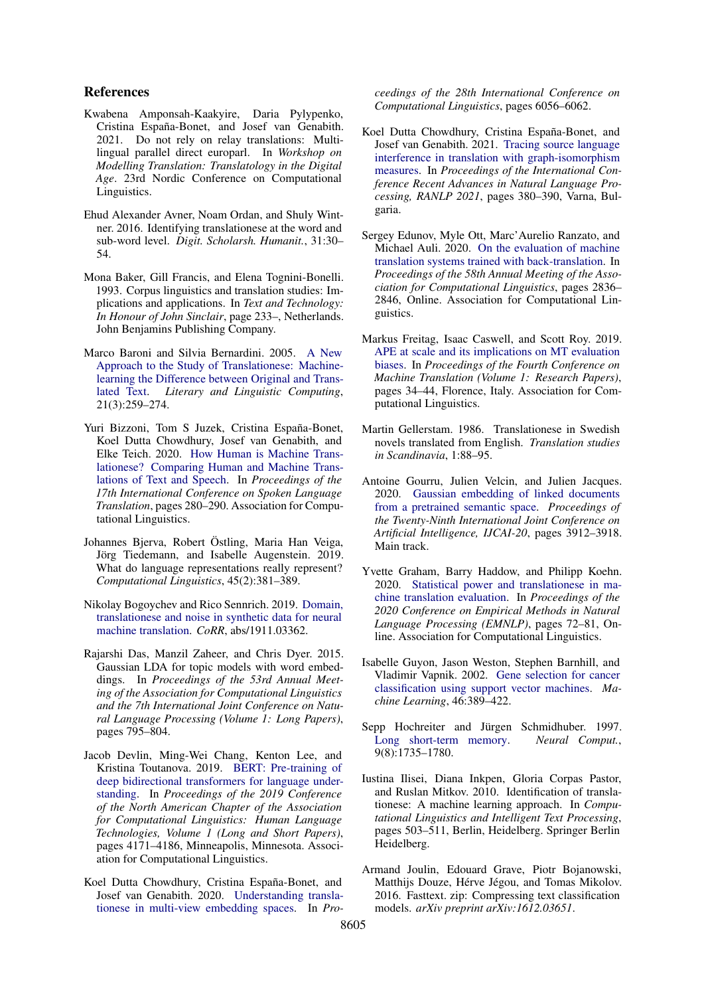#### References

- <span id="page-9-10"></span>Kwabena Amponsah-Kaakyire, Daria Pylypenko, Cristina España-Bonet, and Josef van Genabith. 2021. Do not rely on relay translations: Multilingual parallel direct europarl. In *Workshop on Modelling Translation: Translatology in the Digital Age*. 23rd Nordic Conference on Computational Linguistics.
- <span id="page-9-11"></span>Ehud Alexander Avner, Noam Ordan, and Shuly Wintner. 2016. Identifying translationese at the word and sub-word level. *Digit. Scholarsh. Humanit.*, 31:30– 54.
- <span id="page-9-13"></span>Mona Baker, Gill Francis, and Elena Tognini-Bonelli. 1993. Corpus linguistics and translation studies: Implications and applications. In *Text and Technology: In Honour of John Sinclair*, page 233–, Netherlands. John Benjamins Publishing Company.
- <span id="page-9-1"></span>Marco Baroni and Silvia Bernardini. 2005. [A New](https://doi.org/10.1093/llc/fqi039) [Approach to the Study of Translationese: Machine](https://doi.org/10.1093/llc/fqi039)[learning the Difference between Original and Trans](https://doi.org/10.1093/llc/fqi039)[lated Text.](https://doi.org/10.1093/llc/fqi039) *Literary and Linguistic Computing*, 21(3):259–274.
- <span id="page-9-3"></span>Yuri Bizzoni, Tom S Juzek, Cristina España-Bonet, Koel Dutta Chowdhury, Josef van Genabith, and Elke Teich. 2020. [How Human is Machine Trans](https://www.aclweb.org/anthology/2020.iwslt-1.34)[lationese? Comparing Human and Machine Trans](https://www.aclweb.org/anthology/2020.iwslt-1.34)[lations of Text and Speech.](https://www.aclweb.org/anthology/2020.iwslt-1.34) In *Proceedings of the 17th International Conference on Spoken Language Translation*, pages 280–290. Association for Computational Linguistics.
- <span id="page-9-4"></span>Johannes Bjerva, Robert Östling, Maria Han Veiga, Jörg Tiedemann, and Isabelle Augenstein. 2019. What do language representations really represent? *Computational Linguistics*, 45(2):381–389.
- <span id="page-9-2"></span>Nikolay Bogoychev and Rico Sennrich. 2019. [Domain,](http://arxiv.org/abs/1911.03362) [translationese and noise in synthetic data for neural](http://arxiv.org/abs/1911.03362) [machine translation.](http://arxiv.org/abs/1911.03362) *CoRR*, abs/1911.03362.
- <span id="page-9-15"></span>Rajarshi Das, Manzil Zaheer, and Chris Dyer. 2015. Gaussian LDA for topic models with word embeddings. In *Proceedings of the 53rd Annual Meeting of the Association for Computational Linguistics and the 7th International Joint Conference on Natural Language Processing (Volume 1: Long Papers)*, pages 795–804.
- <span id="page-9-18"></span>Jacob Devlin, Ming-Wei Chang, Kenton Lee, and Kristina Toutanova. 2019. [BERT: Pre-training of](https://doi.org/10.18653/v1/N19-1423) [deep bidirectional transformers for language under](https://doi.org/10.18653/v1/N19-1423)[standing.](https://doi.org/10.18653/v1/N19-1423) In *Proceedings of the 2019 Conference of the North American Chapter of the Association for Computational Linguistics: Human Language Technologies, Volume 1 (Long and Short Papers)*, pages 4171–4186, Minneapolis, Minnesota. Association for Computational Linguistics.
- <span id="page-9-5"></span>Koel Dutta Chowdhury, Cristina España-Bonet, and Josef van Genabith. 2020. [Understanding transla](https://doi.org/10.18653/v1/2020.coling-main.532)[tionese in multi-view embedding spaces.](https://doi.org/10.18653/v1/2020.coling-main.532) In *Pro-*

*ceedings of the 28th International Conference on Computational Linguistics*, pages 6056–6062.

- <span id="page-9-6"></span>Koel Dutta Chowdhury, Cristina España-Bonet, and Josef van Genabith. 2021. [Tracing source language](https://doi.org/https://doi.org/10.26615/978-954-452-072-4_044) [interference in translation with graph-isomorphism](https://doi.org/https://doi.org/10.26615/978-954-452-072-4_044) [measures.](https://doi.org/https://doi.org/10.26615/978-954-452-072-4_044) In *Proceedings of the International Conference Recent Advances in Natural Language Processing, RANLP 2021*, pages 380–390, Varna, Bulgaria.
- <span id="page-9-8"></span>Sergey Edunov, Myle Ott, Marc'Aurelio Ranzato, and Michael Auli. 2020. [On the evaluation of machine](https://doi.org/10.18653/v1/2020.acl-main.253) [translation systems trained with back-translation.](https://doi.org/10.18653/v1/2020.acl-main.253) In *Proceedings of the 58th Annual Meeting of the Association for Computational Linguistics*, pages 2836– 2846, Online. Association for Computational Linguistics.
- <span id="page-9-7"></span>Markus Freitag, Isaac Caswell, and Scott Roy. 2019. [APE at scale and its implications on MT evaluation](https://doi.org/10.18653/v1/W19-5204) [biases.](https://doi.org/10.18653/v1/W19-5204) In *Proceedings of the Fourth Conference on Machine Translation (Volume 1: Research Papers)*, pages 34–44, Florence, Italy. Association for Computational Linguistics.
- <span id="page-9-0"></span>Martin Gellerstam. 1986. Translationese in Swedish novels translated from English. *Translation studies in Scandinavia*, 1:88–95.
- <span id="page-9-16"></span>Antoine Gourru, Julien Velcin, and Julien Jacques. 2020. [Gaussian embedding of linked documents](https://doi.org/10.24963/ijcai.2020/541) [from a pretrained semantic space.](https://doi.org/10.24963/ijcai.2020/541) *Proceedings of the Twenty-Ninth International Joint Conference on Artificial Intelligence, IJCAI-20*, pages 3912–3918. Main track.
- <span id="page-9-9"></span>Yvette Graham, Barry Haddow, and Philipp Koehn. 2020. [Statistical power and translationese in ma](https://doi.org/10.18653/v1/2020.emnlp-main.6)[chine translation evaluation.](https://doi.org/10.18653/v1/2020.emnlp-main.6) In *Proceedings of the 2020 Conference on Empirical Methods in Natural Language Processing (EMNLP)*, pages 72–81, Online. Association for Computational Linguistics.
- <span id="page-9-19"></span>Isabelle Guyon, Jason Weston, Stephen Barnhill, and Vladimir Vapnik. 2002. [Gene selection for cancer](https://doi.org/10.1023/A:1012487302797) [classification using support vector machines.](https://doi.org/10.1023/A:1012487302797) *Machine Learning*, 46:389–422.
- <span id="page-9-17"></span>Sepp Hochreiter and Jürgen Schmidhuber. 1997. [Long short-term memory.](https://doi.org/10.1162/neco.1997.9.8.1735) *Neural Comput.*, 9(8):1735–1780.
- <span id="page-9-12"></span>Iustina Ilisei, Diana Inkpen, Gloria Corpas Pastor, and Ruslan Mitkov. 2010. Identification of translationese: A machine learning approach. In *Computational Linguistics and Intelligent Text Processing*, pages 503–511, Berlin, Heidelberg. Springer Berlin Heidelberg.
- <span id="page-9-14"></span>Armand Joulin, Edouard Grave, Piotr Bojanowski, Matthijs Douze, Hérve Jégou, and Tomas Mikolov. 2016. Fasttext. zip: Compressing text classification models. *arXiv preprint arXiv:1612.03651*.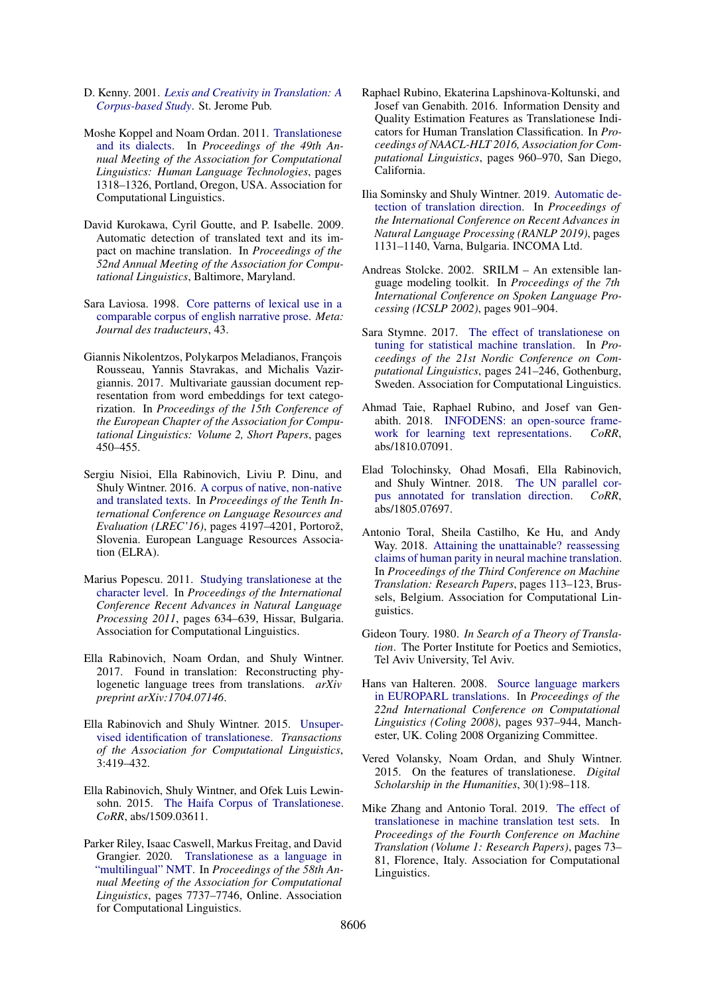- <span id="page-10-19"></span>D. Kenny. 2001. *[Lexis and Creativity in Translation: A](https://books.google.de/books?id=apcoAQAAIAAJ) [Corpus-based Study](https://books.google.de/books?id=apcoAQAAIAAJ)*. St. Jerome Pub.
- <span id="page-10-12"></span>Moshe Koppel and Noam Ordan. 2011. [Translationese](https://www.aclweb.org/anthology/P11-1132) [and its dialects.](https://www.aclweb.org/anthology/P11-1132) In *Proceedings of the 49th Annual Meeting of the Association for Computational Linguistics: Human Language Technologies*, pages 1318–1326, Portland, Oregon, USA. Association for Computational Linguistics.
- <span id="page-10-11"></span>David Kurokawa, Cyril Goutte, and P. Isabelle. 2009. Automatic detection of translated text and its impact on machine translation. In *Proceedings of the 52nd Annual Meeting of the Association for Computational Linguistics*, Baltimore, Maryland.
- <span id="page-10-17"></span>Sara Laviosa. 1998. [Core patterns of lexical use in a](https://doi.org/10.7202/003425ar) [comparable corpus of english narrative prose.](https://doi.org/10.7202/003425ar) *Meta: Journal des traducteurs*, 43.
- <span id="page-10-21"></span>Giannis Nikolentzos, Polykarpos Meladianos, François Rousseau, Yannis Stavrakas, and Michalis Vazirgiannis. 2017. Multivariate gaussian document representation from word embeddings for text categorization. In *Proceedings of the 15th Conference of the European Chapter of the Association for Computational Linguistics: Volume 2, Short Papers*, pages 450–455.
- <span id="page-10-9"></span>Sergiu Nisioi, Ella Rabinovich, Liviu P. Dinu, and Shuly Wintner. 2016. [A corpus of native, non-native](https://www.aclweb.org/anthology/L16-1664) [and translated texts.](https://www.aclweb.org/anthology/L16-1664) In *Proceedings of the Tenth International Conference on Language Resources and Evaluation (LREC'16)*, pages 4197–4201, Portorož, Slovenia. European Language Resources Association (ELRA).
- <span id="page-10-14"></span>Marius Popescu. 2011. [Studying translationese at the](https://www.aclweb.org/anthology/R11-1091) [character level.](https://www.aclweb.org/anthology/R11-1091) In *Proceedings of the International Conference Recent Advances in Natural Language Processing 2011*, pages 634–639, Hissar, Bulgaria. Association for Computational Linguistics.
- <span id="page-10-3"></span>Ella Rabinovich, Noam Ordan, and Shuly Wintner. 2017. Found in translation: Reconstructing phylogenetic language trees from translations. *arXiv preprint arXiv:1704.07146*.
- <span id="page-10-2"></span>Ella Rabinovich and Shuly Wintner. 2015. [Unsuper](https://doi.org/10.1162/tacl_a_00148)[vised identification of translationese.](https://doi.org/10.1162/tacl_a_00148) *Transactions of the Association for Computational Linguistics*, 3:419–432.
- <span id="page-10-8"></span>Ella Rabinovich, Shuly Wintner, and Ofek Luis Lewinsohn. 2015. [The Haifa Corpus of Translationese.](http://arxiv.org/abs/1509.03611) *CoRR*, abs/1509.03611.
- <span id="page-10-7"></span>Parker Riley, Isaac Caswell, Markus Freitag, and David Grangier. 2020. [Translationese as a language in](https://www.aclweb.org/anthology/2020.acl-main.691) ["multilingual" NMT.](https://www.aclweb.org/anthology/2020.acl-main.691) In *Proceedings of the 58th Annual Meeting of the Association for Computational Linguistics*, pages 7737–7746, Online. Association for Computational Linguistics.
- <span id="page-10-1"></span>Raphael Rubino, Ekaterina Lapshinova-Koltunski, and Josef van Genabith. 2016. Information Density and Quality Estimation Features as Translationese Indicators for Human Translation Classification. In *Proceedings of NAACL-HLT 2016, Association for Computational Linguistics*, pages 960–970, San Diego, California.
- <span id="page-10-15"></span>Ilia Sominsky and Shuly Wintner. 2019. [Automatic de](https://doi.org/10.26615/978-954-452-056-4_130)[tection of translation direction.](https://doi.org/10.26615/978-954-452-056-4_130) In *Proceedings of the International Conference on Recent Advances in Natural Language Processing (RANLP 2019)*, pages 1131–1140, Varna, Bulgaria. INCOMA Ltd.
- <span id="page-10-20"></span>Andreas Stolcke. 2002. SRILM – An extensible language modeling toolkit. In *Proceedings of the 7th International Conference on Spoken Language Processing (ICSLP 2002)*, pages 901–904.
- <span id="page-10-4"></span>Sara Stymne. 2017. [The effect of translationese on](https://www.aclweb.org/anthology/W17-0230) [tuning for statistical machine translation.](https://www.aclweb.org/anthology/W17-0230) In *Proceedings of the 21st Nordic Conference on Computational Linguistics*, pages 241–246, Gothenburg, Sweden. Association for Computational Linguistics.
- <span id="page-10-16"></span>Ahmad Taie, Raphael Rubino, and Josef van Genabith. 2018. [INFODENS: an open-source frame](http://arxiv.org/abs/1810.07091)[work for learning text representations.](http://arxiv.org/abs/1810.07091) *CoRR*, abs/1810.07091.
- <span id="page-10-13"></span>Elad Tolochinsky, Ohad Mosafi, Ella Rabinovich, and Shuly Wintner. 2018. [The UN parallel cor](http://arxiv.org/abs/1805.07697)[pus annotated for translation direction.](http://arxiv.org/abs/1805.07697) *CoRR*, abs/1805.07697.
- <span id="page-10-5"></span>Antonio Toral, Sheila Castilho, Ke Hu, and Andy Way. 2018. [Attaining the unattainable? reassessing](https://doi.org/10.18653/v1/W18-6312) [claims of human parity in neural machine translation.](https://doi.org/10.18653/v1/W18-6312) In *Proceedings of the Third Conference on Machine Translation: Research Papers*, pages 113–123, Brussels, Belgium. Association for Computational Linguistics.
- <span id="page-10-18"></span>Gideon Toury. 1980. *In Search of a Theory of Translation*. The Porter Institute for Poetics and Semiotics, Tel Aviv University, Tel Aviv.
- <span id="page-10-10"></span>Hans van Halteren. 2008. [Source language markers](https://www.aclweb.org/anthology/C08-1118) [in EUROPARL translations.](https://www.aclweb.org/anthology/C08-1118) In *Proceedings of the 22nd International Conference on Computational Linguistics (Coling 2008)*, pages 937–944, Manchester, UK. Coling 2008 Organizing Committee.
- <span id="page-10-0"></span>Vered Volansky, Noam Ordan, and Shuly Wintner. 2015. On the features of translationese. *Digital Scholarship in the Humanities*, 30(1):98–118.
- <span id="page-10-6"></span>Mike Zhang and Antonio Toral. 2019. [The effect of](https://doi.org/10.18653/v1/W19-5208) [translationese in machine translation test sets.](https://doi.org/10.18653/v1/W19-5208) In *Proceedings of the Fourth Conference on Machine Translation (Volume 1: Research Papers)*, pages 73– 81, Florence, Italy. Association for Computational Linguistics.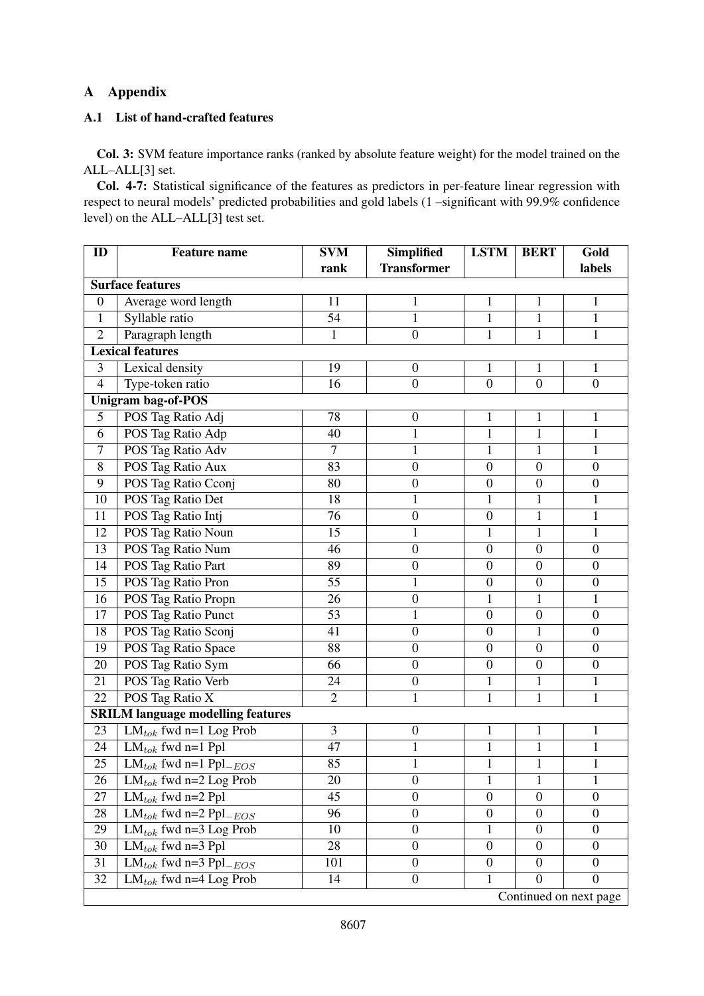# A Appendix

# <span id="page-11-0"></span>A.1 List of hand-crafted features

Col. 3: SVM feature importance ranks (ranked by absolute feature weight) for the model trained on the ALL–ALL[3] set.

Col. 4-7: Statistical significance of the features as predictors in per-feature linear regression with respect to neural models' predicted probabilities and gold labels (1 –significant with 99.9% confidence level) on the ALL–ALL[3] test set.

| ID             | <b>Feature name</b>                           | <b>SVM</b>      | <b>Simplified</b>  | <b>LSTM</b>      | <b>BERT</b>      | Gold                   |
|----------------|-----------------------------------------------|-----------------|--------------------|------------------|------------------|------------------------|
|                |                                               | rank            | <b>Transformer</b> |                  |                  | labels                 |
|                | <b>Surface features</b>                       |                 |                    |                  |                  |                        |
| $\overline{0}$ | Average word length                           | 11              | 1                  | 1                | 1                | $\mathbf{1}$           |
| $\mathbf{1}$   | Syllable ratio                                | $\overline{54}$ | $\mathbf{1}$       | $\mathbf{1}$     | $\mathbf{1}$     | $\mathbf{1}$           |
| $\overline{2}$ | Paragraph length                              | $\mathbf{1}$    | $\boldsymbol{0}$   | $\mathbf{1}$     | $\mathbf{1}$     | $\mathbf{1}$           |
|                | <b>Lexical features</b>                       |                 |                    |                  |                  |                        |
| $\overline{3}$ | Lexical density                               | 19              | $\boldsymbol{0}$   | 1                | 1                | $\mathbf{1}$           |
| $\overline{4}$ | Type-token ratio                              | 16              | $\boldsymbol{0}$   | $\boldsymbol{0}$ | $\mathbf{0}$     | $\mathbf{0}$           |
|                | <b>Unigram bag-of-POS</b>                     |                 |                    |                  |                  |                        |
| 5              | POS Tag Ratio Adj                             | 78              | $\boldsymbol{0}$   | $\mathbf{1}$     | $\mathbf{1}$     | $\mathbf{1}$           |
| 6              | POS Tag Ratio Adp                             | 40              | 1                  | $\mathbf{1}$     | $\mathbf{1}$     | $\mathbf{1}$           |
| $\overline{7}$ | POS Tag Ratio Adv                             | $\overline{7}$  | 1                  | $\mathbf{1}$     | 1                | $\mathbf{1}$           |
| 8              | POS Tag Ratio Aux                             | 83              | $\boldsymbol{0}$   | $\boldsymbol{0}$ | $\boldsymbol{0}$ | $\boldsymbol{0}$       |
| 9              | POS Tag Ratio Cconj                           | 80              | $\boldsymbol{0}$   | $\boldsymbol{0}$ | $\boldsymbol{0}$ | $\boldsymbol{0}$       |
| 10             | POS Tag Ratio Det                             | 18              | $\mathbf{1}$       | $\mathbf{1}$     | $\mathbf{1}$     | $\mathbf{1}$           |
| 11             | POS Tag Ratio Intj                            | 76              | $\boldsymbol{0}$   | $\boldsymbol{0}$ | $\mathbf{1}$     | $\mathbf{1}$           |
| 12             | POS Tag Ratio Noun                            | 15              | $\mathbf{1}$       | $\mathbf{1}$     | $\mathbf{1}$     | $\mathbf{1}$           |
| 13             | POS Tag Ratio Num                             | 46              | $\boldsymbol{0}$   | $\boldsymbol{0}$ | $\theta$         | $\boldsymbol{0}$       |
| 14             | POS Tag Ratio Part                            | 89              | $\boldsymbol{0}$   | $\overline{0}$   | $\overline{0}$   | $\mathbf{0}$           |
| 15             | POS Tag Ratio Pron                            | 55              | $\mathbf{1}$       | $\boldsymbol{0}$ | $\boldsymbol{0}$ | $\boldsymbol{0}$       |
| 16             | POS Tag Ratio Propn                           | 26              | $\boldsymbol{0}$   | $\mathbf{1}$     | 1                | $\mathbf{1}$           |
| 17             | POS Tag Ratio Punct                           | 53              | $\mathbf{1}$       | $\boldsymbol{0}$ | $\boldsymbol{0}$ | $\boldsymbol{0}$       |
| 18             | POS Tag Ratio Sconj                           | 41              | $\boldsymbol{0}$   | $\boldsymbol{0}$ | $\mathbf{1}$     | $\boldsymbol{0}$       |
| 19             | POS Tag Ratio Space                           | 88              | $\boldsymbol{0}$   | $\boldsymbol{0}$ | $\overline{0}$   | $\boldsymbol{0}$       |
| 20             | POS Tag Ratio Sym                             | 66              | $\boldsymbol{0}$   | $\boldsymbol{0}$ | $\overline{0}$   | $\boldsymbol{0}$       |
| 21             | POS Tag Ratio Verb                            | 24              | $\boldsymbol{0}$   | $\mathbf{1}$     | $\mathbf{1}$     | $\mathbf{1}$           |
| 22             | POS Tag Ratio X                               | $\overline{2}$  | 1                  | $\mathbf{1}$     | $\mathbf{1}$     | $\mathbf{1}$           |
|                | <b>SRILM language modelling features</b>      |                 |                    |                  |                  |                        |
| 23             | $LM_{tok}$ fwd n=1 Log Prob                   | 3               | $\boldsymbol{0}$   | $\mathbf{1}$     | $\mathbf{1}$     | $\mathbf{1}$           |
| 24             | LM <sub>tok</sub> fwd n= $\overline{1}$ Ppl   | 47              | $\mathbf{1}$       | $\mathbf{1}$     | $\mathbf{1}$     | $\mathbf{1}$           |
| 25             | LM <sub>tok</sub> fwd n=1 Ppl <sub>-EOS</sub> | 85              | $\mathbf{1}$       | $\mathbf{1}$     | $\mathbf{1}$     | $\mathbf{1}$           |
| 26             | $LM_{tok}$ fwd n=2 Log Prob                   | 20              | $\boldsymbol{0}$   | $\mathbf{1}$     | $\mathbf{1}$     | $\mathbf{1}$           |
| 27             | $LM_{tok}$ fwd n=2 Ppl                        | 45              | $\overline{0}$     | $\boldsymbol{0}$ | $\overline{0}$   | $\boldsymbol{0}$       |
| 28             | LM <sub>tok</sub> fwd n=2 Ppl <sub>-EOS</sub> | 96              | $\boldsymbol{0}$   | $\boldsymbol{0}$ | $\boldsymbol{0}$ | $\boldsymbol{0}$       |
| 29             | $LM_{tok}$ fwd n=3 Log Prob                   | 10              | $\boldsymbol{0}$   | $\mathbf{1}$     | $\boldsymbol{0}$ | $\boldsymbol{0}$       |
| 30             | LM <sub>tok</sub> fwd n= $3$ Ppl              | 28              | $\boldsymbol{0}$   | $\boldsymbol{0}$ | $\boldsymbol{0}$ | $\boldsymbol{0}$       |
| 31             | LM <sub>tok</sub> fwd n=3 Ppl $_{-EOS}$       | 101             | $\overline{0}$     | $\boldsymbol{0}$ | $\overline{0}$   | $\boldsymbol{0}$       |
| 32             | $LM_{tok}$ fwd n=4 Log Prob                   | 14              | $\boldsymbol{0}$   | $\mathbf{1}$     | $\overline{0}$   | $\boldsymbol{0}$       |
|                |                                               |                 |                    |                  |                  | Continued on next page |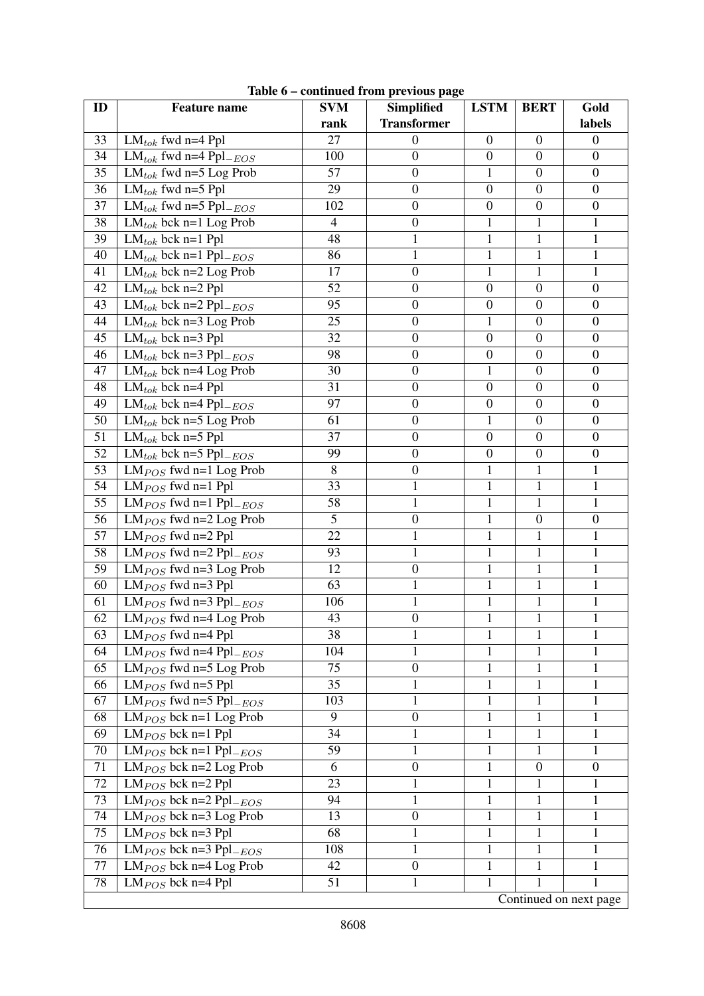| ID | <b>Feature name</b>                             | <b>SVM</b>     | <b>Simplified</b>  | <b>LSTM</b>      | <b>BERT</b>      | Gold                   |
|----|-------------------------------------------------|----------------|--------------------|------------------|------------------|------------------------|
|    |                                                 | rank           | <b>Transformer</b> |                  |                  | labels                 |
| 33 | LM $_{tok}$ fwd n=4 Ppl                         | 27             | $\boldsymbol{0}$   | $\boldsymbol{0}$ | $\boldsymbol{0}$ | $\boldsymbol{0}$       |
| 34 | LM <sub>tok</sub> fwd n=4 Ppl <sub>-EOS</sub>   | 100            | $\boldsymbol{0}$   | $\boldsymbol{0}$ | $\boldsymbol{0}$ | $\boldsymbol{0}$       |
| 35 | $LM_{tok}$ fwd n=5 Log Prob                     | 57             | $\boldsymbol{0}$   | $\mathbf{1}$     | $\boldsymbol{0}$ | $\boldsymbol{0}$       |
| 36 | LM <sub>tok</sub> fwd n=5 Ppl                   | 29             | $\boldsymbol{0}$   | $\boldsymbol{0}$ | $\boldsymbol{0}$ | $\boldsymbol{0}$       |
| 37 | LM <sub>tok</sub> fwd n=5 Ppl $_{-EOS}$         | 102            | $\boldsymbol{0}$   | $\boldsymbol{0}$ | $\boldsymbol{0}$ | $\boldsymbol{0}$       |
| 38 | $LM_{tok}$ bck n=1 Log Prob                     | $\overline{4}$ | $\boldsymbol{0}$   | $\mathbf{1}$     | 1                | 1                      |
| 39 | LM <sub>tok</sub> bck n=1 Ppl                   | 48             | $\mathbf{1}$       | $\mathbf{1}$     | $\mathbf{1}$     | $\mathbf{1}$           |
| 40 | $LM_{tok}$ bck n=1 Ppl $_{-EOS}$                | 86             | $\mathbf{1}$       | $\mathbf{1}$     | $\mathbf{1}$     | $\mathbf{1}$           |
| 41 | $LM_{tok}$ bck n=2 Log Prob                     | 17             | $\boldsymbol{0}$   | $\mathbf{1}$     | $\mathbf{1}$     | $\mathbf{1}$           |
| 42 | $LM_{tok}$ bck n=2 Ppl                          | 52             | $\boldsymbol{0}$   | $\boldsymbol{0}$ | $\boldsymbol{0}$ | $\boldsymbol{0}$       |
| 43 | LM <sub>tok</sub> bck n=2 Ppl <sub>-EOS</sub>   | 95             | $\boldsymbol{0}$   | $\boldsymbol{0}$ | $\boldsymbol{0}$ | $\boldsymbol{0}$       |
| 44 | $LM_{tok}$ bck n=3 Log Prob                     | 25             | $\boldsymbol{0}$   | 1                | $\boldsymbol{0}$ | $\boldsymbol{0}$       |
| 45 | LM <sub>tok</sub> bck n=3 Ppl                   | 32             | $\boldsymbol{0}$   | $\boldsymbol{0}$ | $\boldsymbol{0}$ | $\boldsymbol{0}$       |
| 46 | LM <sub>tok</sub> bck n=3 Ppl $-EOS$            | 98             | $\boldsymbol{0}$   | $\boldsymbol{0}$ | $\boldsymbol{0}$ | $\boldsymbol{0}$       |
| 47 | $LM_{tok}$ bck n=4 Log Prob                     | 30             | $\boldsymbol{0}$   | 1                | $\boldsymbol{0}$ | $\boldsymbol{0}$       |
| 48 | LM <sub>tok</sub> bck n=4 Ppl                   | 31             | $\boldsymbol{0}$   | $\boldsymbol{0}$ | $\boldsymbol{0}$ | $\boldsymbol{0}$       |
| 49 | LM <sub>tok</sub> bck n=4 Ppl <sub>-EOS</sub>   | 97             | $\boldsymbol{0}$   | $\boldsymbol{0}$ | $\boldsymbol{0}$ | $\boldsymbol{0}$       |
| 50 | $LM_{tok}$ bck n=5 Log Prob                     | 61             | $\boldsymbol{0}$   | 1                | $\boldsymbol{0}$ | $\boldsymbol{0}$       |
| 51 | LM <sub>tok</sub> bck n= $\overline{5}$ Ppl     | 37             | $\boldsymbol{0}$   | $\boldsymbol{0}$ | $\boldsymbol{0}$ | $\boldsymbol{0}$       |
| 52 | LM <sub>tok</sub> bck n=5 Ppl <sub>-EOS</sub>   | 99             | $\boldsymbol{0}$   | $\boldsymbol{0}$ | $\boldsymbol{0}$ | $\boldsymbol{0}$       |
| 53 | $LM_{POS}$ fwd n=1 Log Prob                     | $8\,$          | $\boldsymbol{0}$   | $\mathbf{1}$     | $\mathbf{1}$     | $\mathbf{1}$           |
| 54 | $LMPOS$ fwd n=1 Ppl                             | 33             | $\mathbf{1}$       | $\mathbf{1}$     | $\mathbf{1}$     | $\mathbf{1}$           |
| 55 | LM <sub>POS</sub> fwd n=1 Ppl <sub>-EOS</sub>   | 58             | $\mathbf{1}$       | $\mathbf{1}$     | $\mathbf{1}$     | $\mathbf{1}$           |
| 56 | $LMPOS$ fwd n=2 Log Prob                        | 5              | $\boldsymbol{0}$   | $\mathbf{1}$     | $\boldsymbol{0}$ | $\boldsymbol{0}$       |
| 57 | LM <sub>POS</sub> fwd n=2 Ppl                   | 22             | 1                  | $\mathbf{1}$     | $\mathbf{1}$     | 1                      |
| 58 | LM <sub>POS</sub> fwd n=2 Ppl <sub>-EOS</sub>   | 93             | $\mathbf{1}$       | $\mathbf{1}$     | $\mathbf{1}$     | $\mathbf{1}$           |
| 59 | $LM_{POS}$ fwd n=3 Log Prob                     | 12             | $\boldsymbol{0}$   | $\mathbf{1}$     | $\mathbf{1}$     | $\mathbf{1}$           |
| 60 | LM <sub>POS</sub> fwd n=3 Ppl                   | 63             | 1                  | $\mathbf{1}$     | $\mathbf{1}$     | $\mathbf{1}$           |
| 61 | LM <sub>POS</sub> fwd n=3 Ppl <sub>-EOS</sub>   | 106            | 1                  | $\mathbf{1}$     | $\mathbf{1}$     | $\mathbf{1}$           |
| 62 | $LM_{POS}$ fwd n=4 Log Prob                     | 43             | $\boldsymbol{0}$   | 1                | $\mathbf{1}$     | $\mathbf{1}$           |
| 63 | $LMPOS$ fwd n=4 Ppl                             | 38             | 1                  | 1                | 1                | 1                      |
| 64 | $LM_{POS}$ fwd n=4 Ppl $_{EOS}$                 | 104            | 1                  | 1                | 1                | $\mathbf 1$            |
| 65 | $LM_{POS}$ fwd n=5 Log Prob                     | 75             | $\boldsymbol{0}$   | 1                | 1                | $\mathbf{1}$           |
| 66 | $LMPOS$ fwd n=5 Ppl                             | 35             | $\mathbf{1}$       | $\mathbf{1}$     | $\mathbf{1}$     | $\mathbf{1}$           |
| 67 | LM <sub>POS</sub> fwd $n=5$ Ppl <sub>-EOS</sub> | 103            | $\mathbf{1}$       | $\mathbf{1}$     | $\mathbf{1}$     | $\mathbf{1}$           |
| 68 | $LM_{POS}$ bck n=1 Log Prob                     | 9              | $\boldsymbol{0}$   | $\mathbf{1}$     | $\mathbf{1}$     | $\mathbf{1}$           |
| 69 | $LM_{POS}$ bck n=1 Ppl                          | 34             | $\mathbf{1}$       | $\mathbf{1}$     | $\mathbf{1}$     | $\mathbf{1}$           |
| 70 | LM <sub>POS</sub> bck n=1 Ppl $-EOS$            | 59             | $\mathbf{1}$       | $\mathbf{1}$     | $\mathbf{1}$     | $\mathbf{1}$           |
| 71 | $LMPOS$ bck n=2 Log Prob                        | 6              | $\boldsymbol{0}$   | 1                | $\boldsymbol{0}$ | $\boldsymbol{0}$       |
| 72 | $LM_{POS}$ bck n=2 Ppl                          | 23             | 1                  | 1                | 1                | $\mathbf{1}$           |
| 73 | LM <sub>POS</sub> bck n=2 Ppl <sub>-EOS</sub>   | 94             | $\mathbf{1}$       | $\mathbf{1}$     | $\mathbf{1}$     | $\mathbf{1}$           |
| 74 | $LM_{POS}$ bck n=3 Log Prob                     | 13             | $\boldsymbol{0}$   | $\mathbf{1}$     | $\mathbf{1}$     | $\mathbf{1}$           |
| 75 | $LMPOS$ bck n=3 Ppl                             | 68             | 1                  | $\mathbf{1}$     | $\mathbf{1}$     | $\mathbf{1}$           |
| 76 | LM <sub>POS</sub> bck n=3 Ppl <sub>-EOS</sub>   | 108            | $\mathbf{1}$       | $\mathbf{1}$     | $\mathbf{1}$     | $\mathbf{1}$           |
| 77 | $LM_{POS}$ bck n=4 Log Prob                     | 42             | $\boldsymbol{0}$   | 1                | 1                | 1                      |
| 78 | $LM_{POS}$ bck n=4 Ppl                          | 51             | 1                  | 1                | 1                | 1                      |
|    |                                                 |                |                    |                  |                  | Continued on next page |

Table 6 – continued from previous page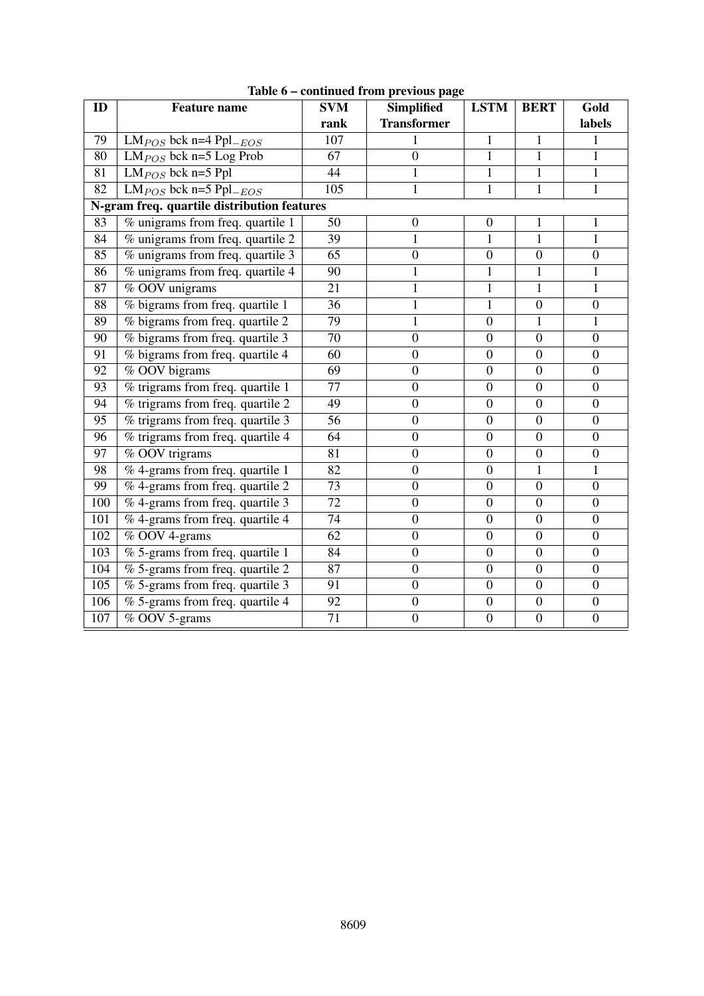| ID  | <b>Feature name</b>                            | <b>SVM</b>      | r o<br><b>Simplified</b> | <b>LSTM</b>      | <b>BERT</b>      | Gold             |
|-----|------------------------------------------------|-----------------|--------------------------|------------------|------------------|------------------|
|     |                                                | rank            | <b>Transformer</b>       |                  |                  | labels           |
| 79  | LM <sub>POS</sub> bck n=4 Ppl <sub>-EOS</sub>  | 107             | 1                        | 1                | 1                | 1                |
| 80  | $\overline{\text{LM}_{POS}}$ bck n=5 Log Prob  | 67              | $\overline{0}$           | $\mathbf{1}$     | $\mathbf{1}$     | $\mathbf{1}$     |
| 81  | $LMPOS$ bck n=5 Ppl                            | 44              | 1                        | $\mathbf{1}$     | $\mathbf{1}$     | $\mathbf{1}$     |
| 82  | LM <sub>POS</sub> bck n=5 Ppl <sub>-EOS</sub>  | 105             | 1                        | $\mathbf{1}$     | $\mathbf{1}$     | $\mathbf{1}$     |
|     | N-gram freq. quartile distribution features    |                 |                          |                  |                  |                  |
| 83  | $\overline{\%}$ unigrams from freq. quartile 1 | 50              | $\overline{0}$           | $\overline{0}$   | 1                | $\mathbf{1}$     |
| 84  | % unigrams from freq. quartile 2               | 39              | $\mathbf{1}$             | $\mathbf{1}$     | $\mathbf{1}$     | $\mathbf{1}$     |
| 85  | % unigrams from freq. quartile 3               | $\overline{65}$ | $\overline{0}$           | $\boldsymbol{0}$ | $\boldsymbol{0}$ | $\overline{0}$   |
| 86  | % unigrams from freq. quartile 4               | $\overline{90}$ | 1                        | $\mathbf{1}$     | $\mathbf{1}$     | $\mathbf{1}$     |
| 87  | % OOV unigrams                                 | 21              | 1                        | $\mathbf{1}$     | $\mathbf{1}$     | $\mathbf{1}$     |
| 88  | % bigrams from freq. quartile 1                | 36              | 1                        | $\mathbf{1}$     | $\overline{0}$   | $\boldsymbol{0}$ |
| 89  | % bigrams from freq. quartile 2                | $\overline{79}$ | $\mathbf{1}$             | $\overline{0}$   | $\mathbf{1}$     | $\mathbf{1}$     |
| 90  | % bigrams from freq. quartile 3                | 70              | $\overline{0}$           | $\overline{0}$   | $\overline{0}$   | $\overline{0}$   |
| 91  | % bigrams from freq. quartile 4                | 60              | $\boldsymbol{0}$         | $\boldsymbol{0}$ | $\boldsymbol{0}$ | $\boldsymbol{0}$ |
| 92  | % OOV bigrams                                  | 69              | $\overline{0}$           | $\overline{0}$   | $\overline{0}$   | $\overline{0}$   |
| 93  | $\%$ trigrams from freq. quartile 1            | 77              | $\overline{0}$           | $\overline{0}$   | $\overline{0}$   | $\overline{0}$   |
| 94  | % trigrams from freq. quartile 2               | 49              | $\overline{0}$           | $\overline{0}$   | $\boldsymbol{0}$ | $\boldsymbol{0}$ |
| 95  | % trigrams from freq. quartile 3               | 56              | $\overline{0}$           | $\boldsymbol{0}$ | $\boldsymbol{0}$ | $\boldsymbol{0}$ |
| 96  | $\overline{\%}$ trigrams from freq. quartile 4 | 64              | $\overline{0}$           | $\overline{0}$   | $\overline{0}$   | $\overline{0}$   |
| 97  | % OOV trigrams                                 | 81              | $\boldsymbol{0}$         | $\boldsymbol{0}$ | $\boldsymbol{0}$ | $\overline{0}$   |
| 98  | % 4-grams from freq. quartile 1                | 82              | $\boldsymbol{0}$         | $\mathbf{0}$     | $\mathbf{1}$     | $\mathbf{1}$     |
| 99  | % 4-grams from freq. quartile 2                | 73              | $\overline{0}$           | $\overline{0}$   | $\boldsymbol{0}$ | $\overline{0}$   |
| 100 | % 4-grams from freq. quartile 3                | 72              | $\overline{0}$           | $\overline{0}$   | $\overline{0}$   | $\overline{0}$   |
| 101 | $\overline{\%$ 4-grams from freq. quartile 4   | 74              | $\overline{0}$           | $\overline{0}$   | $\mathbf{0}$     | $\boldsymbol{0}$ |
| 102 | % OOV 4-grams                                  | 62              | $\overline{0}$           | $\overline{0}$   | $\overline{0}$   | $\overline{0}$   |
| 103 | % 5-grams from freq. quartile 1                | $\overline{84}$ | $\boldsymbol{0}$         | $\boldsymbol{0}$ | $\boldsymbol{0}$ | $\overline{0}$   |
| 104 | % 5-grams from freq. quartile 2                | 87              | $\boldsymbol{0}$         | $\overline{0}$   | $\overline{0}$   | $\overline{0}$   |
| 105 | % 5-grams from freq. quartile 3                | 91              | $\boldsymbol{0}$         | $\boldsymbol{0}$ | $\boldsymbol{0}$ | $\boldsymbol{0}$ |
| 106 | $\overline{\%}$ 5-grams from freq. quartile 4  | $\overline{92}$ | $\overline{0}$           | $\mathbf{0}$     | $\overline{0}$   | $\boldsymbol{0}$ |
| 107 | % OOV 5-grams                                  | $\overline{71}$ | $\overline{0}$           | $\overline{0}$   | $\overline{0}$   | $\overline{0}$   |

# Table 6 – continued from previous page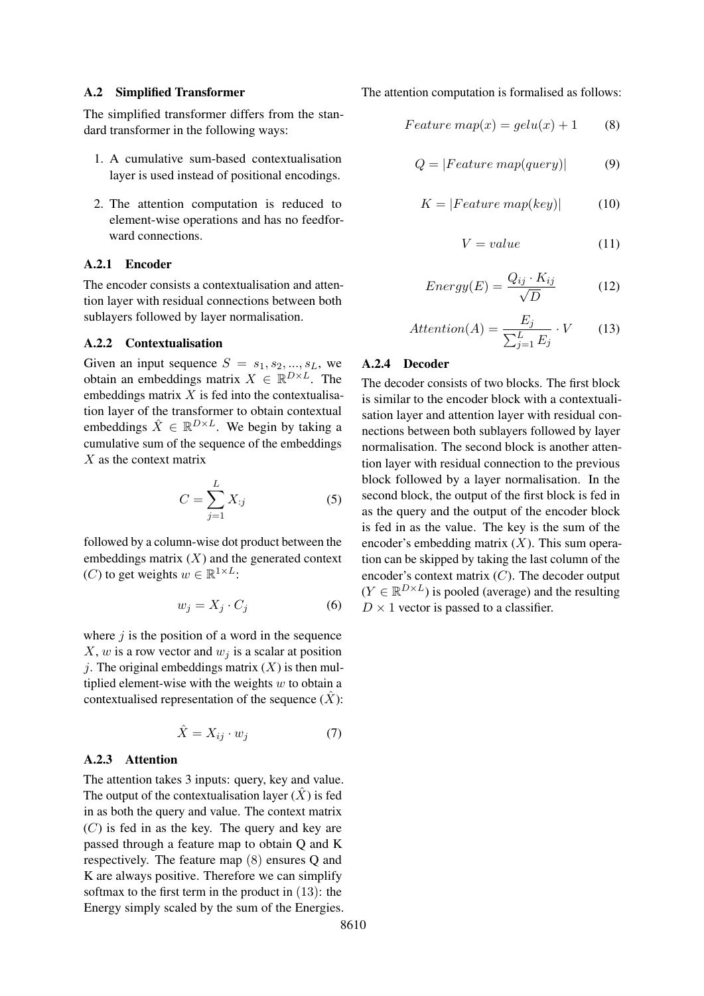#### <span id="page-14-0"></span>A.2 Simplified Transformer

The simplified transformer differs from the standard transformer in the following ways:

- 1. A cumulative sum-based contextualisation layer is used instead of positional encodings.
- 2. The attention computation is reduced to element-wise operations and has no feedforward connections.

### A.2.1 Encoder

The encoder consists a contextualisation and attention layer with residual connections between both sublayers followed by layer normalisation.

#### A.2.2 Contextualisation

Given an input sequence  $S = s_1, s_2, ..., s_L$ , we obtain an embeddings matrix  $X \in \mathbb{R}^{D \times L}$ . The embeddings matrix  $X$  is fed into the contextualisation layer of the transformer to obtain contextual embeddings  $\hat{X} \in \mathbb{R}^{D \times L}$ . We begin by taking a cumulative sum of the sequence of the embeddings  $X$  as the context matrix

$$
C = \sum_{j=1}^{L} X_{:j} \tag{5}
$$

followed by a column-wise dot product between the embeddings matrix  $(X)$  and the generated context (C) to get weights  $w \in \mathbb{R}^{1 \times L}$ :

$$
w_j = X_j \cdot C_j \tag{6}
$$

where  $j$  is the position of a word in the sequence X, w is a row vector and  $w_i$  is a scalar at position j. The original embeddings matrix  $(X)$  is then multiplied element-wise with the weights  $w$  to obtain a contextualised representation of the sequence  $(\hat{X})$ :

$$
\hat{X} = X_{ij} \cdot w_j \tag{7}
$$

### A.2.3 Attention

The attention takes 3 inputs: query, key and value. The output of the contextualisation layer  $(\hat{X})$  is fed in as both the query and value. The context matrix  $(C)$  is fed in as the key. The query and key are passed through a feature map to obtain Q and K respectively. The feature map (8) ensures Q and K are always positive. Therefore we can simplify softmax to the first term in the product in (13): the Energy simply scaled by the sum of the Energies. The attention computation is formalised as follows:

$$
Feature\ map(x) = gelu(x) + 1 \tag{8}
$$

$$
Q = |Feature\ map(query)| \qquad (9)
$$

$$
K = |Feature \ map(key)| \qquad (10)
$$

$$
V = value \tag{11}
$$

$$
Energy(E) = \frac{Q_{ij} \cdot K_{ij}}{\sqrt{D}} \tag{12}
$$

$$
Attention(A) = \frac{E_j}{\sum_{j=1}^{L} E_j} \cdot V \tag{13}
$$

### A.2.4 Decoder

The decoder consists of two blocks. The first block is similar to the encoder block with a contextualisation layer and attention layer with residual connections between both sublayers followed by layer normalisation. The second block is another attention layer with residual connection to the previous block followed by a layer normalisation. In the second block, the output of the first block is fed in as the query and the output of the encoder block is fed in as the value. The key is the sum of the encoder's embedding matrix  $(X)$ . This sum operation can be skipped by taking the last column of the encoder's context matrix (C). The decoder output  $(Y \in \mathbb{R}^{D \times L})$  is pooled (average) and the resulting  $D \times 1$  vector is passed to a classifier.